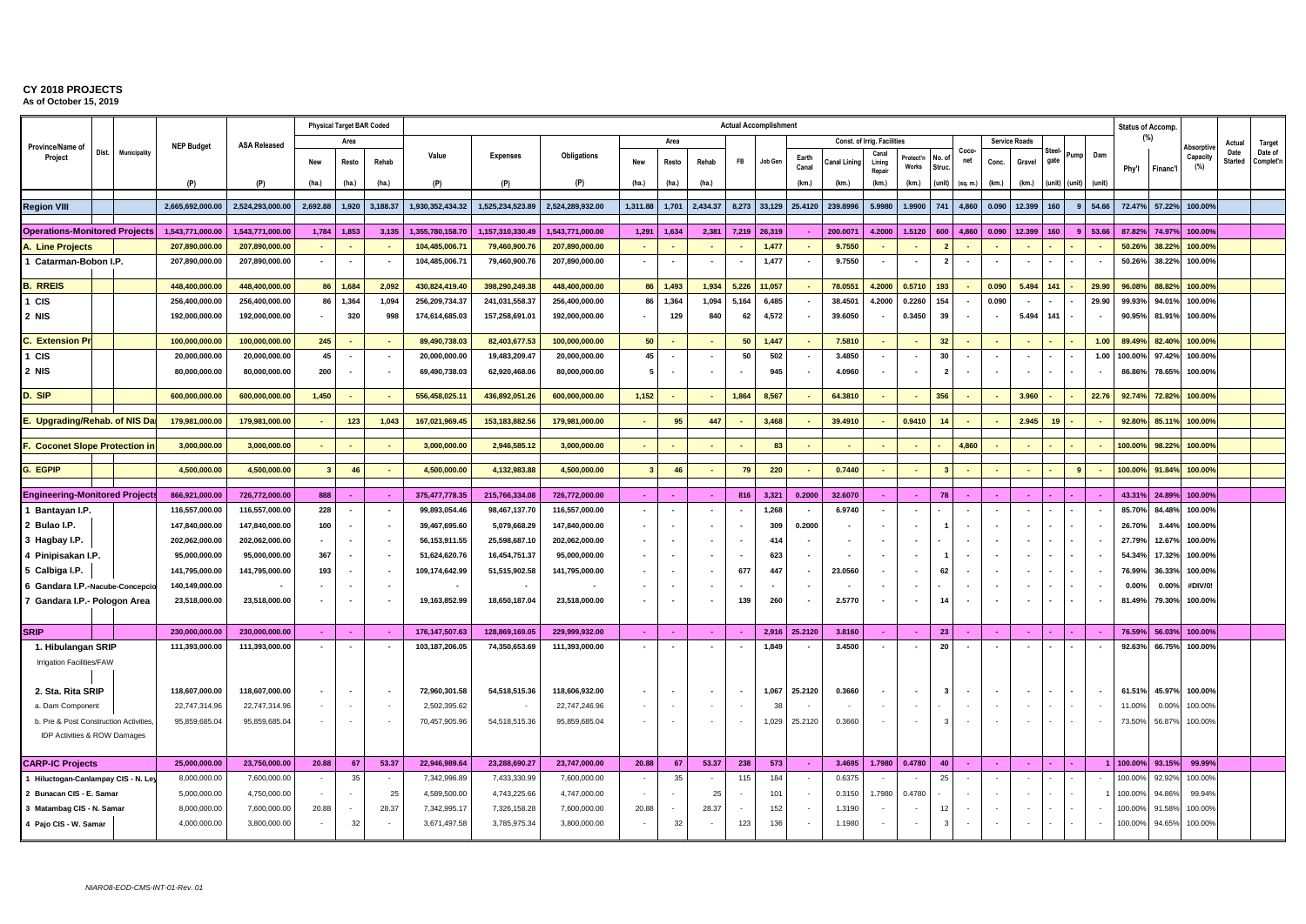|                                                        |                       |                   |                     |                          | <b>Physical Target BAR Coded</b> |          |                  |                  |                    |                          |                          |          | <b>Actual Accomplishment</b> |         |                |              |                                    |                    |                |                          |                          |                          |                          |      |                          |         | <b>Status of Accomp.</b> |                 |                 |                      |
|--------------------------------------------------------|-----------------------|-------------------|---------------------|--------------------------|----------------------------------|----------|------------------|------------------|--------------------|--------------------------|--------------------------|----------|------------------------------|---------|----------------|--------------|------------------------------------|--------------------|----------------|--------------------------|--------------------------|--------------------------|--------------------------|------|--------------------------|---------|--------------------------|-----------------|-----------------|----------------------|
| Province/Name of                                       |                       | <b>NEP Budget</b> | <b>ASA Released</b> |                          | Area                             |          |                  |                  |                    |                          | Area                     |          |                              |         |                |              | <b>Const. of Irrig. Facilities</b> |                    |                |                          |                          | <b>Service Roads</b>     |                          |      |                          |         | (%)                      | Absorpti        | Actual          | Target               |
| Project                                                | Dist.<br>Municipality |                   |                     | New                      | Resto                            | Rehab    | Value            | <b>Expenses</b>  | <b>Obligations</b> | New                      | Resto                    | Rehab    | ${\sf FB}$                   | Job Gen | Earth<br>Canal | Canal Linine | Canal<br>Lining<br>Repair          | Protect'n<br>Works | No. a<br>Struc | Coco-<br>net             | Conc.                    | Gravel                   | Steel<br>gate            | Pump | Dam                      | Phy'l   | Financ'l                 | Capacity<br>(%) | Date<br>Started | Date of<br>Complet'n |
|                                                        |                       | (P)               | (P)                 | (ha.)                    | (ha.)                            | (ha.)    | (P)              | (P)              | (P)                | (ha.)                    | (ha.)                    | (ha.)    |                              |         | (km.)          | (km.)        | (km.)                              | (km.)              | <b>unit</b>    | (sq. m.)                 | (km.)                    | (km.)                    | (unit) (unit)            |      | (unit)                   |         |                          |                 |                 |                      |
| <b>Region VIII</b>                                     |                       | 2.665.692.000.00  | 2.524.293.000.00    | 2.692.88                 | 1.920                            | 3.188.37 | 1.930.352.434.32 | 1.525.234.523.89 | 2.524.289.932.00   | 1,311.88                 | 1.701                    | 2.434.37 | 8.273                        | 33.129  | 25.4120        | 239.8996     | 5.9980                             | 1.9900             | 741            | 4.860                    | 0.090                    | 12.399                   | 160                      | 9    | 54.66                    | 72.47%  | 57.22%                   | 100.00%         |                 |                      |
| <b>Operations-Monitored Projects</b>                   |                       | 1,543,771,000.00  | 1,543,771,000.00    | 1,784                    | 1,853                            | 3,135    | 1,355,780,158.70 | 1,157,310,330.49 | 1,543,771,000.00   | 1,291                    | 1,634                    | 2,381    | 7,219                        | 26,319  |                | 200.0071     | 4.2000                             | 1.5120             | 600            | 4,860                    | 0.090                    | 12.399                   | 160                      | 9    | 53.66                    | 87.82%  | 74.97%                   | 100.00%         |                 |                      |
| A. Line Projects                                       |                       | 207,890,000.00    | 207,890,000.00      | $\sim$                   |                                  |          | 104,485,006.71   | 79,460,900.76    | 207,890,000.00     | $\sim$                   |                          |          |                              | 1,477   |                | 9.7550       | $\blacksquare$                     |                    |                |                          |                          |                          |                          |      |                          | 50.26%  | 38.22%                   | 100.00%         |                 |                      |
| 1 Catarman-Bobon I.P.                                  |                       | 207,890,000.00    | 207,890,000.00      | $\overline{\phantom{a}}$ | $\overline{\phantom{a}}$         |          | 104,485,006.71   | 79,460,900.76    | 207,890,000.00     | $\overline{\phantom{a}}$ | $\overline{\phantom{a}}$ |          | $\overline{\phantom{a}}$     | 1,477   |                | 9.7550       | $\overline{\phantom{a}}$           |                    | $\overline{2}$ | $\overline{\phantom{a}}$ | $\sim$                   | $\overline{\phantom{a}}$ |                          |      |                          | 50.26%  | 38.22%                   | 100.00%         |                 |                      |
|                                                        |                       |                   |                     |                          |                                  |          |                  |                  |                    |                          |                          |          |                              |         |                |              |                                    |                    |                |                          |                          |                          |                          |      |                          |         |                          |                 |                 |                      |
| <b>B. RREIS</b>                                        |                       | 448,400,000.00    | 448.400.000.00      | 86                       | 1,684                            | 2.092    | 430,824,419.40   | 398.290.249.38   | 448.400.000.00     | 86                       | 1,493                    | 1,934    | 5,226                        | 11,057  |                | 78.0551      | 4.2000                             | 0.5710             | 193            | $\sim$                   | 0.090                    | 5.494                    | 141                      |      | 29.90                    | 96.08%  | 88.82%                   | 100.00%         |                 |                      |
| 1 CIS                                                  |                       | 256,400,000.00    | 256,400,000.00      | 86                       | 1,364                            | 1,094    | 256,209,734.37   | 241,031,558.37   | 256,400,000.00     | 86                       | 1,364                    | 1,094    | 5,164                        | 6,485   |                | 38.4501      | 4.2000                             | 0.2260             | 154            |                          | 0.090                    |                          |                          |      | 29.90                    | 99.93%  | 94.01%                   | 100.00%         |                 |                      |
| 2 NIS                                                  |                       | 192,000,000.00    | 192,000,000.00      |                          | 320                              | 998      | 174,614,685.03   | 157,258,691.01   | 192,000,000.00     |                          | 129                      | 840      | 62                           | 4,572   |                | 39.6050      |                                    | 0.3450             | 39             |                          | $\overline{\phantom{a}}$ | 5.494                    | 141                      |      |                          | 90.95%  | 81.91%                   | 100.00%         |                 |                      |
| <b>C.</b> Extension Pr                                 |                       | 100,000,000.00    | 100,000,000.00      | 245                      |                                  |          | 89,490,738.03    | 82,403,677.53    | 100,000,000.00     | 50                       |                          |          | 50                           | 1,447   |                | 7.5810       |                                    |                    | 32             |                          |                          |                          |                          |      | 1.00                     | 89.49%  | 82.40%                   | 100.00%         |                 |                      |
| 1 CIS                                                  |                       | 20,000,000.00     | 20,000,000.00       | 45                       | $\overline{\phantom{a}}$         |          | 20,000,000.00    | 19,483,209.47    | 20,000,000.00      | 45                       | $\overline{\phantom{a}}$ |          | 50                           | 502     | ۰.             | 3.4850       | <b>.</b>                           |                    | 30             | $\overline{\phantom{a}}$ |                          |                          |                          |      | 1.00                     | 100.00% | 97.42%                   | 100.00%         |                 |                      |
| 2 NIS                                                  |                       | 80,000,000.00     | 80,000,000.00       | 200                      | $\overline{\phantom{a}}$         |          | 69,490,738.03    | 62,920,468.06    | 80,000,000.00      |                          |                          |          |                              | 945     |                | 4.0960       |                                    |                    | $\overline{2}$ |                          |                          |                          |                          |      |                          | 86.86%  | 78.65%                   | 100.00%         |                 |                      |
| D. SIP                                                 |                       | 600,000,000.00    | 600,000,000.00      | 1,450                    |                                  |          | 556,458,025.11   | 436,892,051.26   | 600,000,000.00     | 1,152                    |                          |          | 1,864                        | 8,567   |                | 64.3810      | $\mathcal{L}_{\mathcal{A}}$        |                    | 356            |                          |                          | 3.960                    |                          |      | 22.76                    | 92.74%  | 72.82%                   | 100.00%         |                 |                      |
| E. Upgrading/Rehab. of NIS Dar                         |                       | 179.981.000.00    | 179.981.000.00      | $\sim$                   | 123                              | 1.043    | 167.021.969.45   | 153.183.882.56   | 179.981.000.00     | $\sim$                   | 95                       | 447      |                              | 3.468   |                | 39.4910      |                                    | 0.9410             | 14             |                          |                          | 2.945                    | 19                       |      |                          | 92.80%  | 85.11%                   | 100.00%         |                 |                      |
|                                                        |                       |                   |                     |                          |                                  |          |                  |                  |                    |                          |                          |          |                              |         |                |              |                                    |                    |                |                          |                          |                          |                          |      |                          |         |                          |                 |                 |                      |
| <b>F. Coconet Slope Protection in</b>                  |                       | 3,000,000.00      | 3,000,000.00        | $\sim$                   |                                  |          | 3,000,000.00     | 2,946,585.12     | 3,000,000.00       | $\sim$                   |                          |          | $\overline{\phantom{a}}$     | 83      |                | $\sim$       |                                    |                    |                | 4.860                    |                          |                          |                          |      |                          | 100.00% | 98.22%                   | 100.00%         |                 |                      |
| G. EGPIP                                               |                       | 4,500,000.00      | 4,500,000.00        | $\overline{\mathbf{3}}$  | 46                               |          | 4,500,000.00     | 4,132,983.88     | 4,500,000.00       | $\overline{\mathbf{3}}$  | 46                       |          | 79                           | 220     |                | 0.7440       |                                    |                    | $\mathbf{3}$   | $\blacksquare$           |                          |                          |                          | -9   |                          | 100.00% | 91.84%                   | 100.00%         |                 |                      |
|                                                        |                       | 866,921,000.00    | 726,772,000.00      | 888                      |                                  |          | 375,477,778.35   | 215,766,334.08   | 726,772,000.00     | ×.                       |                          |          | 816                          | 3,321   | 0.2000         | 32.6070      |                                    |                    | 78             |                          |                          |                          |                          |      |                          | 43.31%  | 24.89%                   | 100.00%         |                 |                      |
| <b>Engineering-Monitored Projects</b><br>Bantayan I.P. |                       | 116,557,000.00    | 116,557,000.00      | 228                      | $\overline{\phantom{a}}$         |          | 99,893,054.46    | 98,467,137.70    | 116,557,000.00     |                          |                          |          |                              | 1,268   |                | 6.9740       | $\sim$                             |                    |                | $\overline{\phantom{a}}$ |                          |                          |                          |      |                          | 85.70%  | 84.48%                   | 100.00%         |                 |                      |
| 2 Bulao I.P.                                           |                       | 147,840,000.00    | 147,840,000.00      | 100                      | $\overline{\phantom{a}}$         |          | 39,467,695.60    | 5,079,668.29     | 147,840,000.00     |                          | $\overline{\phantom{a}}$ |          | $\overline{\phantom{a}}$     | 309     | 0.2000         |              |                                    |                    |                | $\overline{\phantom{a}}$ | $\overline{a}$           |                          |                          |      |                          | 26.70%  | 3.44%                    | 100.00%         |                 |                      |
| 3 Hagbay I.P.                                          |                       | 202,062,000.00    | 202,062,000.00      |                          | $\overline{\phantom{a}}$         |          | 56, 153, 911.55  | 25,598,687.10    | 202,062,000.00     |                          |                          |          |                              | 414     |                |              |                                    |                    |                | $\overline{\phantom{a}}$ |                          |                          |                          |      |                          | 27.79%  | 12.67%                   | 100.00%         |                 |                      |
| 4 Pinipisakan I.P.                                     |                       | 95,000,000.00     | 95,000,000.00       | 367                      | $\overline{\phantom{a}}$         |          | 51,624,620.76    | 16,454,751.37    | 95,000,000.00      |                          |                          |          |                              | 623     |                |              |                                    |                    |                |                          |                          |                          |                          |      |                          | 54.34   | 17.32%                   | 100.00%         |                 |                      |
| 5 Calbiga I.P.                                         |                       | 141,795,000.00    | 141.795.000.00      | 193                      | $\overline{\phantom{a}}$         |          | 109,174,642.99   | 51,515,902.58    | 141,795,000.00     |                          |                          |          | 677                          | 447     |                | 23.0560      |                                    |                    | 62             |                          | $\overline{\phantom{a}}$ |                          |                          |      |                          | 76.99%  | 36.33%                   | 100.00%         |                 |                      |
| 6 Gandara I.P.-Nacube-Concepcio                        |                       | 140,149,000.00    |                     |                          |                                  |          |                  |                  |                    |                          |                          |          |                              |         |                |              |                                    |                    |                |                          |                          |                          |                          |      |                          | 0.00%   | 0.00%                    | #DIV/0!         |                 |                      |
| 7 Gandara I.P.- Pologon Area                           |                       | 23,518,000.00     | 23,518,000.00       |                          |                                  |          | 19,163,852.99    | 18,650,187.04    | 23,518,000.00      |                          |                          |          | 139                          | 260     |                | 2.5770       |                                    |                    | 14             | $\overline{\phantom{a}}$ | $\overline{\phantom{a}}$ |                          |                          |      |                          | 81.49%  | 79.30%                   | 100.00%         |                 |                      |
|                                                        |                       |                   |                     |                          |                                  |          |                  |                  |                    |                          |                          |          |                              |         |                |              |                                    |                    |                |                          |                          |                          |                          |      |                          |         |                          |                 |                 |                      |
| <b>SRIP</b>                                            |                       | 230,000,000.00    | 230,000,000.00      | $\sim$                   | - 11                             | $\sim$   | 176, 147, 507.63 | 128,869,169.05   | 229,999,932.00     | <b>Section</b>           | $\sim$                   | $\sim$   |                              | 2,916   | 25.2120        | 3.8160       | <b>College</b>                     | . п.               | 23             | $\sim$                   | <b>College</b>           | $\sim$                   |                          |      |                          | 76.59%  | 56.03%                   | 100.00%         |                 |                      |
| 1. Hibulangan SRIP                                     |                       | 111,393,000.00    | 111,393,000.00      | $\overline{\phantom{a}}$ |                                  |          | 103,187,206.05   | 74,350,653.69    | 111,393,000.00     |                          | $\overline{\phantom{a}}$ |          | $\overline{\phantom{a}}$     | 1,849   |                | 3.4500       |                                    |                    | 20             | $\blacksquare$           |                          |                          | $\overline{\phantom{a}}$ |      |                          | 92.63%  | 66.75%                   | 100.00%         |                 |                      |
| Irrigation Facilities/FAW                              |                       |                   |                     |                          |                                  |          |                  |                  |                    |                          |                          |          |                              |         |                |              |                                    |                    |                |                          |                          |                          |                          |      |                          |         |                          |                 |                 |                      |
|                                                        |                       |                   |                     |                          |                                  |          |                  |                  |                    |                          |                          |          |                              |         |                |              |                                    |                    |                |                          |                          |                          |                          |      |                          |         |                          |                 |                 |                      |
| 2. Sta. Rita SRIP                                      |                       | 118,607,000.00    | 118,607,000.00      |                          | $\overline{\phantom{a}}$         |          | 72,960,301.58    | 54,518,515.36    | 118,606,932.00     |                          |                          |          | $\overline{\phantom{a}}$     | 1,067   | 25.2120        | 0.3660       |                                    |                    | $\mathbf{3}$   |                          | $\sim$                   |                          |                          |      |                          | 61.51%  | 45.97%                   | 100.00%         |                 |                      |
| a. Dam Component                                       |                       | 22,747,314.96     | 22,747,314.96       |                          | $\overline{\phantom{a}}$         | $\sim$   | 2,502,395.62     |                  | 22,747,246.96      |                          |                          |          | $\sim$                       | 38      |                |              |                                    |                    |                |                          | $\sim$                   |                          |                          |      | $\overline{\phantom{a}}$ | 11.00%  | 0.00%                    | 100.00%         |                 |                      |
| b. Pre & Post Construction Activities,                 |                       | 95,859,685.04     | 95,859,685.04       |                          | $\sim$                           | $\sim$   | 70,457,905.96    | 54,518,515.36    | 95,859,685.04      |                          | $\sim$                   |          | $\sim$                       | 1,029   | 25.2120        | 0.3660       |                                    |                    | $\cdot$ 3      |                          | $\sim$                   |                          |                          |      |                          | 73.50%  | 56.87%                   | 100.00%         |                 |                      |
| IDP Activities & ROW Damages                           |                       |                   |                     |                          |                                  |          |                  |                  |                    |                          |                          |          |                              |         |                |              |                                    |                    |                |                          |                          |                          |                          |      |                          |         |                          |                 |                 |                      |
| <b>CARP-IC Projects</b>                                |                       | 25,000,000.00     | 23.750.000.00       | 20.88                    | 67                               | 53.37    | 22.946.989.64    | 23,288,690.27    | 23,747,000.00      | 20.88                    | 67                       | 53.37    | 238                          | 573     | $\sim$         | 3.4695       | 1.7980                             | 0.4780             | 40             | $\sim$                   |                          | $\sim$                   |                          |      |                          | 100.00% | 93.15%                   | 99.99%          |                 |                      |
| 1 Hiluctogan-Canlampay CIS - N. Ley                    |                       | 8,000,000.00      | 7,600,000.00        |                          | 35                               |          | 7,342,996.89     | 7,433,330.99     | 7,600,000.00       |                          | 35                       |          | 115                          | 184     |                | 0.6375       |                                    |                    | 25             |                          |                          |                          |                          |      |                          | 100.00  | 92.92%                   | 100.00%         |                 |                      |
| 2 Bunacan CIS - E. Samar                               |                       | 5,000,000.00      | 4,750,000.00        |                          |                                  | 25       | 4,589,500.00     | 4,743,225.66     | 4,747,000.00       |                          |                          | 25       |                              | 101     |                | 0.3150       | 1.7980                             | 0.4780             |                |                          | $\blacksquare$           |                          |                          |      |                          | 100.00  | 94.86%                   | 99.94%          |                 |                      |
| 3 Matambag CIS - N. Samar                              |                       | 8,000,000.00      | 7,600,000.00        | 20.88                    |                                  | 28.37    | 7,342,995.17     | 7,326,158.28     | 7,600,000.00       | 20.88                    |                          | 28.37    |                              | 152     |                | 1.3190       |                                    |                    | 12             |                          |                          |                          |                          |      |                          | 100.00  | 91.58%                   | 100.00%         |                 |                      |
| 4 Pajo CIS - W. Samar                                  |                       | 4,000,000.00      | 3,800,000.00        |                          | 32                               |          | 3,671,497.58     | 3,785,975.34     | 3,800,000.00       |                          | 32                       |          | 123                          | 136     |                | 1.1980       |                                    |                    |                |                          |                          |                          |                          |      |                          | 100.00% | 94.65%                   | 100.00%         |                 |                      |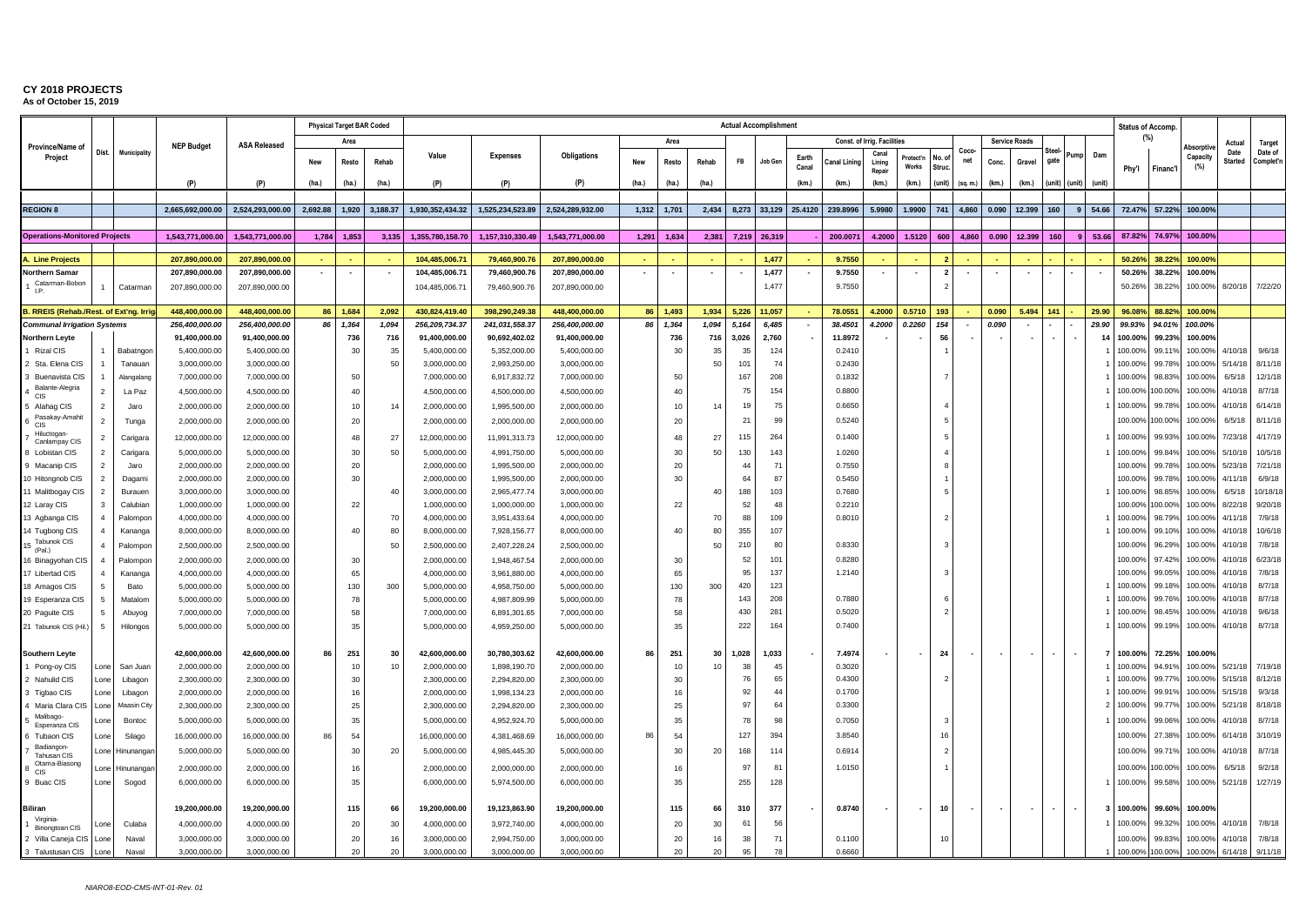|                                         |                                 |                   |                                  |                                  |                | <b>Physical Target BAR Coded</b> |          |                                 |                               |                                  |        |                          |       |                          | <b>Actual Accomplishment</b> |                |                  |                             |                    |                    |                          |       |                          |                          |                          |                | <b>Status of Accomp.</b> |                  |                    |                        |                      |
|-----------------------------------------|---------------------------------|-------------------|----------------------------------|----------------------------------|----------------|----------------------------------|----------|---------------------------------|-------------------------------|----------------------------------|--------|--------------------------|-------|--------------------------|------------------------------|----------------|------------------|-----------------------------|--------------------|--------------------|--------------------------|-------|--------------------------|--------------------------|--------------------------|----------------|--------------------------|------------------|--------------------|------------------------|----------------------|
| Province/Name of                        |                                 |                   | <b>NEP Budget</b>                | <b>ASA Released</b>              |                | Area                             |          |                                 |                               |                                  |        | Area                     |       |                          |                              |                |                  | Const. of Irrig. Facilities |                    |                    |                          |       | <b>Service Roads</b>     |                          |                          |                |                          | (%)              | Absorpti           | Actual                 | Target               |
| Project                                 | Dist.                           | Municipality      |                                  |                                  | <b>New</b>     | Resto                            | Rehab    | Value                           | <b>Expenses</b>               | Obligations                      | New    | Resto                    | Rehab | FB                       | Job Gen                      | Earth<br>Canal | Canal Lining     | Cana<br>Lining<br>Repai     | Protect'n<br>Works | No.<br><b>Stru</b> | Coco<br>net              | Conc. | Gravel                   | ster<br>gate             | Pump                     | Dam            | Phy'l                    | Financ'l         | Capacity<br>(%)    | Date<br><b>Started</b> | Date of<br>Complet'n |
|                                         |                                 |                   | (P)                              | (P)                              | (ha.)          | (ha.)                            | (ha.)    | (P)                             | (P)                           | (P)                              | (ha.)  | (ha.)                    | (ha.) |                          |                              | (km.)          | (km.)            | (km.)                       | (km.)              | (unit)             | (sq. m.)                 | (km.) | (km.)                    | unit)                    | (unit)                   | (unit)         |                          |                  |                    |                        |                      |
|                                         |                                 |                   |                                  |                                  |                |                                  |          |                                 |                               |                                  |        |                          |       |                          |                              |                |                  |                             |                    |                    |                          |       |                          |                          |                          |                |                          |                  |                    |                        |                      |
| <b>REGION 8</b>                         |                                 |                   | 2,665,692,000.00                 | 2,524,293,000.00                 | 2,692.88       | 1,920                            | 3,188.37 | 1,930,352,434.32                | 1,525,234,523.89              | 2,524,289,932.00                 | 1,312  | 1,701                    | 2,434 | 8,273                    | 33,129                       | 25.4120        | 239.8996         | 5.9980                      | 1.9900             | 741                | 4,860                    | 0.090 | 12.399                   | 160                      | 9                        | 54.66          | 72.47%                   | 57.22%           | 100.00%            |                        |                      |
|                                         |                                 |                   |                                  |                                  |                |                                  |          |                                 |                               |                                  |        |                          |       |                          |                              |                |                  |                             |                    |                    |                          |       |                          |                          |                          |                |                          |                  |                    |                        |                      |
| <b>Operations-Monitored Projects</b>    |                                 |                   | 1.543.771.000.00                 | 1.543.771.000.00                 | 1,784          | 1,853                            | 3,135    | 1,355,780,158.70                | 1,157,310,330.49              | 1,543,771,000.00                 | 1,291  | 1,634                    |       | 2,381 7,219              | 26,319                       |                | 200.0071         | 4.2000                      | 1.5120             | 600                | 4.860                    | 0.090 | 12.399                   | 160                      | -9                       | 53.66          | 87.82%                   | 74.97%           | 100.00%            |                        |                      |
|                                         |                                 |                   |                                  |                                  |                |                                  |          |                                 |                               |                                  |        |                          |       |                          |                              |                |                  |                             |                    |                    |                          |       |                          |                          |                          |                |                          |                  |                    |                        |                      |
| L. Line Projects<br>Northern Samar      |                                 |                   | 207,890,000.00<br>207,890,000.00 | 207,890,000.00<br>207,890,000.00 | $\blacksquare$ | $\overline{\phantom{a}}$         |          | 104,485,006.7<br>104,485,006.71 | 79,460,900.7<br>79,460,900.76 | 207,890,000.00<br>207,890,000.00 | $\sim$ | $\overline{\phantom{a}}$ |       | $\overline{\phantom{a}}$ | 1,477<br>1,477               |                | 9.7550<br>9.7550 | $\blacksquare$              |                    | $\overline{2}$     | $\overline{\phantom{a}}$ |       | $\overline{\phantom{a}}$ | $\sim$                   | $\overline{\phantom{a}}$ |                | 50.269<br>50.26%         | 38.22%<br>38.22% | 100.00%<br>100.00% |                        |                      |
| Catarman-Bobo                           |                                 | Catarman          | 207,890,000.00                   | 207,890,000.00                   |                |                                  |          | 104,485,006.71                  | 79,460,900.76                 | 207,890,000.00                   |        |                          |       |                          | 1,477                        |                | 9.7550           |                             |                    |                    |                          |       |                          |                          |                          |                | 50.26%                   | 38.22%           | 100.00%            | 8/20/18                | 7/22/20              |
| LP.                                     |                                 |                   |                                  |                                  |                |                                  |          |                                 |                               |                                  |        |                          |       |                          |                              |                |                  |                             |                    |                    |                          |       |                          |                          |                          |                |                          |                  |                    |                        |                      |
| B. RREIS (Rehab./Rest. of Ext'ng. Irrig |                                 |                   | 448,400,000.00                   | 448,400,000.00                   |                | 86 1,684                         | 2,092    | 430,824,419.40                  | 398,290,249.38                | 448,400,000.00                   | 86     | 1,493                    | 1,934 | 5,226                    | 11,057                       |                | 78.0551          | 4.2000                      | 0.5710             | 193                |                          | 0.090 | 5.494                    | 141                      |                          | 29.90          | 96.08%                   | 88.82%           | 100.00%            |                        |                      |
| <b>Communal Irrigation Systems</b>      |                                 |                   | 256,400,000.00                   | 256,400,000.00                   | 86             | 1,364                            | 1,094    | 256,209,734.37                  | 241,031,558.37                | 256,400,000.00                   | 86     | 1,364                    | 1,094 | 5,164                    | 6,485                        |                | 38.4501          | 4.2000                      | 0.2260             | 154                |                          | 0.090 |                          |                          |                          | 29.90          | 99.93%                   | 94.01%           | 100.00%            |                        |                      |
| <b>Northern Leyte</b>                   |                                 |                   | 91,400,000.00                    | 91,400,000.00                    |                | 736                              | 716      | 91,400,000.00                   | 90,692,402.02                 | 91,400,000.00                    |        | 736                      | 716   | 3,026                    | 2,760                        |                | 11.8972          |                             |                    | 56                 |                          |       |                          | $\overline{\phantom{a}}$ |                          | 14             | 100.00%                  | 99.23%           | 100.00%            |                        |                      |
| 1 Rizal CIS                             |                                 | Babatngor         | 5,400,000.00                     | 5,400,000.00                     |                | 30                               | 35       | 5,400,000.00                    | 5,352,000.00                  | 5,400,000.00                     |        | 30                       | 35    | 35                       | 124                          |                | 0.2410           |                             |                    |                    |                          |       |                          |                          |                          |                | 100.00%                  | 99.11%           | 100.00%            | 4/10/18                | 9/6/18               |
| 2 Sta. Elena CIS                        |                                 | Tanauan           | 3,000,000.00                     | 3,000,000.00                     |                |                                  | 50       | 3,000,000.00                    | 2,993,250.00                  | 3,000,000.00                     |        |                          | 50    | 101                      | 74                           |                | 0.2430           |                             |                    |                    |                          |       |                          |                          |                          |                | 100.00%                  | 99.78%           | 100.00%            | 5/14/18                | 8/11/18              |
| 3 Buenavista CIS<br>Balante-Alegria     |                                 | Alangalang        | 7,000,000.00                     | 7,000,000.00                     |                | 50                               |          | 7,000,000.00                    | 6,917,832.72                  | 7,000,000.00                     |        | 50                       |       | 167                      | 208                          |                | 0.1832           |                             |                    |                    |                          |       |                          |                          |                          |                | 100.009                  | 98.83%           | 100.00%            | 6/5/18                 | 12/1/18              |
| <b>CIS</b>                              | $\overline{2}$                  | La Paz            | 4,500,000.00                     | 4,500,000.00                     |                | 40                               |          | 4,500,000.00                    | 4,500,000.00                  | 4,500,000.00                     |        | 40                       |       | 75                       | 154                          |                | 0.8800           |                             |                    |                    |                          |       |                          |                          |                          |                | 100.00%                  | 100.00%          | 100.00%            | 4/10/18                | 8/7/18               |
| 5 Alahag CIS<br>Pasakay-Amahit          | $\overline{2}$                  | Jaro              | 2,000,000.00                     | 2,000,000.00                     |                | 10                               | 14       | 2,000,000.00                    | 1,995,500.00                  | 2,000,000.00                     |        | 10                       |       | 19                       | 75                           |                | 0.6650           |                             |                    |                    |                          |       |                          |                          |                          |                | 100.00%                  | 99.78%           | 100.00%            | 4/10/18                | 6/14/18              |
| <b>CIS</b><br>Hiluctogan                | $\overline{2}$                  | Tunga             | 2,000,000.00                     | 2,000,000.00                     |                | 20                               |          | 2.000.000.00                    | 2.000.000.00                  | 2,000,000.00                     |        | 20                       |       | 21                       | 99                           |                | 0.5240           |                             |                    |                    |                          |       |                          |                          |                          |                | 100.009                  | 100.00%          | 100.00%            | 6/5/18                 | 8/11/18              |
| Canlampay CIS                           | 2                               | Carigara          | 12,000,000.00                    | 12,000,000.00                    |                | 48                               | 27       | 12,000,000.00                   | 11,991,313.73                 | 12,000,000.00                    |        | 48                       | 27    | 115                      | 264                          |                | 0.1400           |                             |                    |                    |                          |       |                          |                          |                          |                | 100.00                   | 99.939           | 100.00%            | 7/23/18                | 4/17/19              |
| <b>Lobistan CIS</b>                     | $\overline{2}$                  | Carigara          | 5,000,000.00                     | 5,000,000.00                     |                | 30                               | 50       | 5,000,000.00                    | 4,991,750.00                  | 5,000,000.00                     |        | 30                       | 50    | 130                      | 143                          |                | 1.0260           |                             |                    |                    |                          |       |                          |                          |                          |                | 100.00                   | 99.849           | 100.00%            | 5/10/18                | 10/5/18              |
| 9 Macanip CIS                           | $\overline{2}$                  | Jaro              | 2,000,000.00                     | 2,000,000.00                     |                | 20                               |          | 2,000,000.00                    | 1,995,500.00                  | 2,000,000.00                     |        | 20                       |       | 44<br>64                 | 71<br>87                     |                | 0.7550           |                             |                    |                    |                          |       |                          |                          |                          |                | 100.00                   | 99.78%<br>99.78% | 100.00%            | 5/23/18<br>4/11/18     | 7/21/18<br>6/9/18    |
| 10 Hitongnob CIS<br>11 Malitbogay CIS   | $\overline{2}$<br>$\mathcal{P}$ | Dagami<br>Burauer | 2,000,000.00<br>3,000,000.00     | 2,000,000.00<br>3,000,000.00     |                | 30                               | 40       | 2,000,000.00<br>3,000,000.00    | 1,995,500.00<br>2,965,477.74  | 2,000,000.00<br>3,000,000.00     |        | 30                       | 40    | 188                      | 103                          |                | 0.5450<br>0.7680 |                             |                    |                    |                          |       |                          |                          |                          |                | 100.009<br>100.00        | 98.85%           | 100.00%<br>100.00% | 6/5/18                 | 10/18/18             |
| 12 Laray CIS                            | 3                               | Calubian          | 1,000,000.00                     | 1,000,000.00                     |                | 22                               |          | 1,000,000.00                    | 1,000,000.00                  | 1,000,000.00                     |        | 22                       |       | 52                       | 48                           |                | 0.2210           |                             |                    |                    |                          |       |                          |                          |                          |                | 100.00                   | 100.00%          | 100.00%            | 8/22/18                | 9/20/18              |
| 13 Agbanga CIS                          | $\overline{4}$                  | Palompon          | 4,000,000.00                     | 4,000,000.00                     |                |                                  | 70       | 4,000,000.00                    | 3,951,433.64                  | 4,000,000.00                     |        |                          | 70    | 88                       | 109                          |                | 0.8010           |                             |                    |                    |                          |       |                          |                          |                          |                | 100.00                   | 98.79%           | 100.00%            | 4/11/18                | 7/9/18               |
| 14 Tugbong CIS                          | $\overline{4}$                  | Kananga           | 8,000,000.00                     | 8,000,000.00                     |                | 40                               | 80       | 8,000,000.00                    | 7,928,156.77                  | 8,000,000.00                     |        | 40                       | 80    | 355                      | 107                          |                |                  |                             |                    |                    |                          |       |                          |                          |                          |                | 100.00                   | 99.10%           | 100.00%            | 4/10/18                | 10/6/18              |
| Tabunok CIS<br>$(5 \text{ (Pal.)}$      | $\Delta$                        | Palompor          | 2,500,000.00                     | 2,500,000.00                     |                |                                  | 50       | 2,500,000.00                    | 2,407,228.24                  | 2,500,000.00                     |        |                          | 50    | 210                      | 80                           |                | 0.8330           |                             |                    |                    |                          |       |                          |                          |                          |                | 100.00                   | 96.29%           | 100.00%            | 4/10/18                | 7/8/18               |
| 6 Binagyohan CIS                        | $\overline{4}$                  | Palompor          | 2,000,000.00                     | 2,000,000.00                     |                | 30                               |          | 2,000,000.00                    | 1,948,467.54                  | 2,000,000.00                     |        | 30                       |       | 52                       | 101                          |                | 0.8280           |                             |                    |                    |                          |       |                          |                          |                          |                | 100.00                   | 97.42%           | 100.00%            | 4/10/18                | 6/23/18              |
| 17 Libertad CIS                         |                                 | Kananga           | 4,000,000.00                     | 4,000,000.00                     |                | 65                               |          | 4,000,000.00                    | 3,961,880.00                  | 4,000,000.00                     |        | 65                       |       | 95                       | 137                          |                | 1.2140           |                             |                    |                    |                          |       |                          |                          |                          |                | 100.00                   | 99.05%           | 100.00%            | 4/10/18                | 7/8/18               |
| 18 Amagos CIS                           | -5                              | Bato              | 5,000,000.00                     | 5,000,000.00                     |                | 130                              | 300      | 5,000,000.00                    | 4,958,750.00                  | 5,000,000.00                     |        | 130                      | 300   | 420                      | 123                          |                |                  |                             |                    |                    |                          |       |                          |                          |                          |                | 100.00                   | 99.18%           | 100.00%            | 4/10/18                | 8/7/18               |
| 19 Esperanza CIS                        | 5                               | Matalon           | 5,000,000.00                     | 5,000,000.00                     |                | 78                               |          | 5,000,000.00                    | 4,987,809.99                  | 5,000,000.00                     |        | 78                       |       | 143                      | 208                          |                | 0.7880           |                             |                    |                    |                          |       |                          |                          |                          |                | 100.00                   | 99.76%           | 100.00%            | 4/10/18                | 8/7/18               |
| 20 Paguite CIS                          | 5                               | Abuyog            | 7,000,000.00                     | 7,000,000.00                     |                | 58                               |          | 7,000,000.00                    | 6,891,301.65                  | 7,000,000.00                     |        | 58                       |       | 430                      | 281                          |                | 0.5020           |                             |                    |                    |                          |       |                          |                          |                          |                | 100.00                   | 98.45%           | 100.00%            | 4/10/18                | 9/6/18               |
| 21 Tabunok CIS (Hil.)                   | 5                               | Hilongos          | 5,000,000.00                     | 5,000,000.00                     |                | 35                               |          | 5,000,000.00                    | 4,959,250.00                  | 5,000,000.00                     |        | 35                       |       | 222                      | 164                          |                | 0.7400           |                             |                    |                    |                          |       |                          |                          |                          |                | 100.00%                  | 99.19%           | 100.00%            | 4/10/18                | 8/7/18               |
| <b>Southern Leyte</b>                   |                                 |                   | 42,600,000.00                    | 42,600,000.00                    | 86             | 251                              | 30       | 42,600,000.00                   | 30,780,303.62                 | 42,600,000.00                    | 86     | 251                      | 30    | 1,028                    | 1,033                        |                | 7.4974           |                             |                    | 24                 | $\overline{\phantom{a}}$ |       | $\overline{\phantom{a}}$ | $\overline{\phantom{a}}$ | $\overline{\phantom{a}}$ | $\overline{7}$ | 100.00%                  | 72.25%           | 100.00%            |                        |                      |
| 1 Pong-oy CIS                           | Lone                            | San Juan          | 2,000,000.00                     | 2,000,000.00                     |                | 10                               | 10       | 2,000,000.00                    | 1,898,190.70                  | 2,000,000.00                     |        | 10                       | 10    | 38                       | 45                           |                | 0.3020           |                             |                    |                    |                          |       |                          |                          |                          |                | 100.00%                  | 94.91%           | 100.00%            | 5/21/18                | 7/19/18              |
| 2 Nahulid CIS                           | Lone                            | Libagon           | 2,300,000.00                     | 2,300,000.00                     |                | 30                               |          | 2,300,000.00                    | 2,294,820.00                  | 2,300,000.00                     |        | 30                       |       | 76                       | 65                           |                | 0.4300           |                             |                    |                    |                          |       |                          |                          |                          |                | 100.00                   | 99.77            | 100.00%            | 5/15/18                | 8/12/18              |
| 3 Tigbao CIS                            | Lone                            | Libagon           | 2,000,000.00                     | 2,000,000.00                     |                | 16                               |          | 2,000,000.00                    | 1,998,134.23                  | 2,000,000.00                     |        | 16                       |       | 92                       | 44                           |                | 0.1700           |                             |                    |                    |                          |       |                          |                          |                          |                | 100.009                  | 99.91%           | 100.00%            | 5/15/18                | 9/3/18               |
| 4 Maria Clara CIS                       | Lone                            | Maasin City       | 2,300,000.00                     | 2,300,000.00                     |                | 25                               |          | 2,300,000.00                    | 2,294,820.00                  | 2,300,000.00                     |        | 25                       |       | 97                       | 64                           |                | 0.3300           |                             |                    |                    |                          |       |                          |                          |                          |                | 100.00%                  | 99.779           | 100.00%            | 5/21/18                | 8/18/18              |
| Malibago-<br>Esperanza CIS              | .one                            | Bontoc            | 5,000,000.00                     | 5,000,000.00                     |                | 35                               |          | 5,000,000.00                    | 4,952,924.70                  | 5,000,000.00                     |        | 35                       |       | 78                       | 98                           |                | 0.7050           |                             |                    |                    |                          |       |                          |                          |                          |                | 100.009                  | 99.06%           | 100.00%            | 4/10/18                | 8/7/18               |
| Tubaon CIS                              | Lone                            | Silago            | 16,000,000.00                    | 16,000,000.00                    | 86             | 54                               |          | 16,000,000.00                   | 4,381,468.69                  | 16,000,000.00                    | 86     | 54                       |       | 127                      | 394                          |                | 3.8540           |                             |                    | 16                 |                          |       |                          |                          |                          |                | 100.00                   | 27.389           | 100.00%            | 6/14/18                | 3/10/19              |
| Badiangon-<br>Tahusan CIS               | one                             | Hinunanga         | 5,000,000.00                     | 5,000,000.00                     |                | 30                               | 20       | 5,000,000.00                    | 4,985,445.30                  | 5,000,000.00                     |        | 30                       | 20    | 168                      | 114                          |                | 0.6914           |                             |                    |                    |                          |       |                          |                          |                          |                | 100.00                   | 99.719           | 100.00%            | 4/10/18                | 8/7/18               |
| Otama-Biasong<br>CIS                    | Lone                            | Hinunanga         | 2,000,000.00                     | 2,000,000.00                     |                | 16                               |          | 2,000,000.00                    | 2,000,000.00                  | 2,000,000.00                     |        | 16                       |       | 97                       | 81                           |                | 1.0150           |                             |                    |                    |                          |       |                          |                          |                          |                | 100.00                   | 100.00%          | 100.00%            | 6/5/18                 | 9/2/18               |
| 9 Buac CIS                              | .one                            | Sogod             | 6,000,000.00                     | 6,000,000.00                     |                | 35                               |          | 6,000,000.00                    | 5,974,500.00                  | 6,000,000.00                     |        | 35                       |       | 255                      | 128                          |                |                  |                             |                    |                    |                          |       |                          |                          |                          |                | 100.00                   | 99.58%           | 100.00%            | 5/21/18                | 1/27/19              |
|                                         |                                 |                   |                                  |                                  |                |                                  |          |                                 |                               |                                  |        |                          |       |                          |                              |                |                  |                             |                    |                    |                          |       |                          |                          |                          |                |                          |                  |                    |                        |                      |
| Biliran                                 |                                 |                   | 19,200,000.00                    | 19,200,000.00                    |                | 115                              | 66       | 19,200,000.00                   | 19,123,863.90                 | 19,200,000.00                    |        | 115                      | 66    | 310                      | 377                          |                | 0.8740           |                             |                    | 10                 |                          |       | $\overline{\phantom{a}}$ |                          |                          |                | 100.00%                  | 99.60%           | 100.00%            |                        |                      |
| Virginia<br><b>Binongtoan CIS</b>       | one                             | Culaba            | 4,000,000.00                     | 4,000,000.00                     |                | 20                               | 30       | 4,000,000.00                    | 3,972,740.00                  | 4,000,000.00                     |        | 20                       | 30    | 61                       | -56                          |                |                  |                             |                    |                    |                          |       |                          |                          |                          |                | 100.00%                  | 99.329           | 100.00%            | 4/10/18                | 7/8/18               |
| 2 Villa Caneja CIS                      | Lone                            | Naval             | 3,000,000.00                     | 3,000,000.00                     |                | 20                               | 16       | 3,000,000.00                    | 2,994,750.00                  | 3,000,000.00                     |        | 20                       | 16    | 38                       | 71                           |                | 0.1100           |                             |                    | 10                 |                          |       |                          |                          |                          |                | 100.009                  | 99.83%           | 100.00%            | 4/10/18                | 7/8/18               |
| 3 Talustusan CIS                        | one                             | Naval             | 3.000.000.00                     | 3.000.000.00                     |                | 20                               | 20       | 3.000.000.00                    | 3.000.000.00                  | 3.000.000.00                     |        | 20                       |       | 95                       | 78                           |                | 0.6660           |                             |                    |                    |                          |       |                          |                          |                          |                | 100.00                   | 00.00%           | 100.00%            | 6/14/18                | 9/11/18              |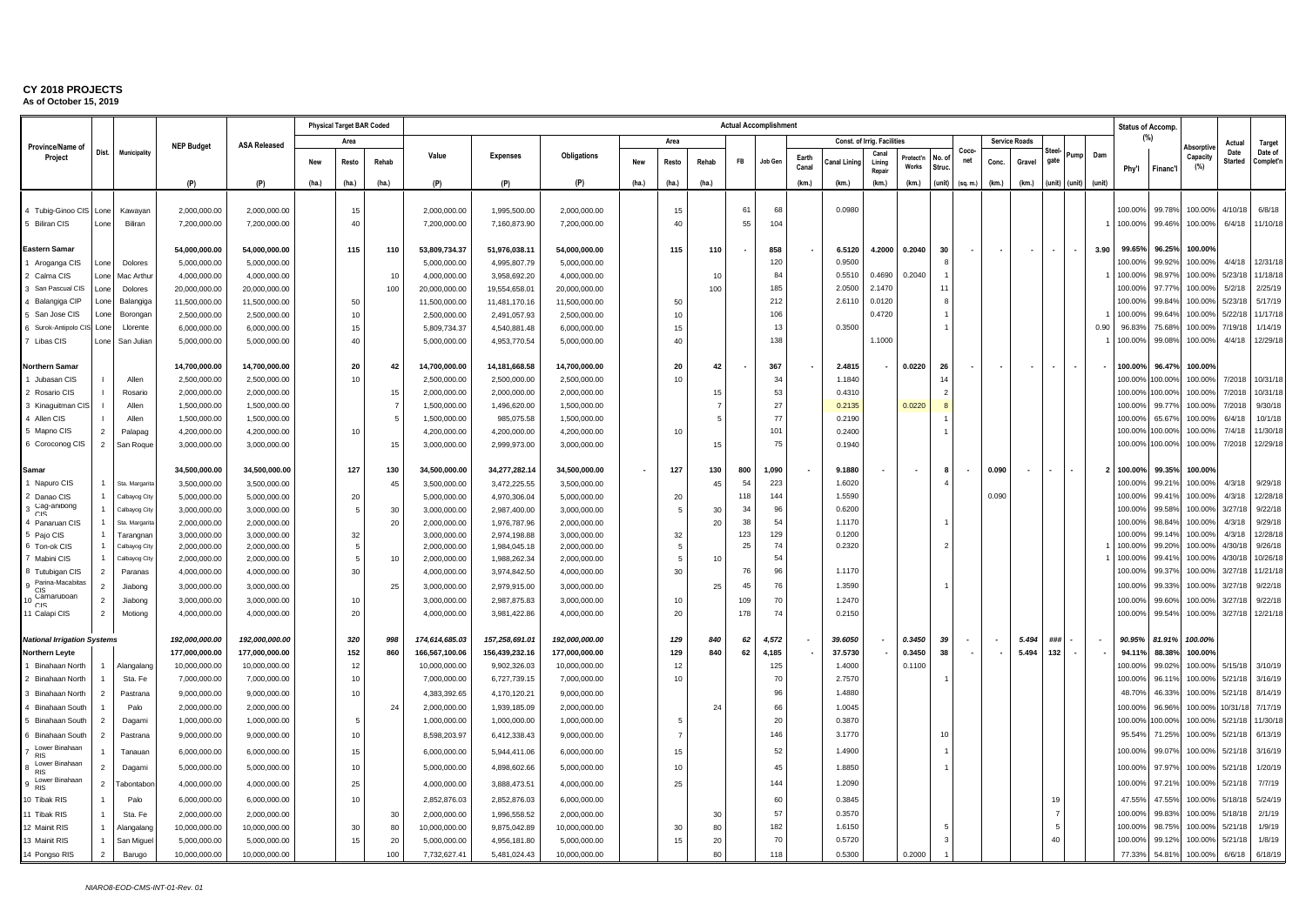|                                      |                                  |                               |                              |                              |       | <b>Physical Target BAR Coded</b> |                |                              |                              |                              |       |          |                 |            | <b>Actual Accomplishment</b> |                |                  |                             |                    |                          |             |       |                          |                          |                          |        |                    | <b>Status of Accomp.</b> |                    |                        |                      |
|--------------------------------------|----------------------------------|-------------------------------|------------------------------|------------------------------|-------|----------------------------------|----------------|------------------------------|------------------------------|------------------------------|-------|----------|-----------------|------------|------------------------------|----------------|------------------|-----------------------------|--------------------|--------------------------|-------------|-------|--------------------------|--------------------------|--------------------------|--------|--------------------|--------------------------|--------------------|------------------------|----------------------|
| Province/Name of                     |                                  |                               | <b>NEP Budget</b>            | <b>ASA Released</b>          |       | Area                             |                |                              |                              |                              |       | Area     |                 |            |                              |                |                  | Const. of Irrig. Facilities |                    |                          |             |       | <b>Service Roads</b>     |                          |                          |        |                    | (%)                      | <b>\bsorptiv</b>   | Actual                 | Target               |
| Project                              | Dist.                            | Municipality                  |                              |                              | New   | Resto                            | Rehab          | Value                        | <b>Expenses</b>              | Obligations                  | New   | Resto    | Rehab           | FB         | Job Gen                      | Earth<br>Canal | anal Lininc      | Cana<br>Lining<br>Repa      | Protect'n<br>Works | No.<br>Struc             | Coco<br>net | Conc. | Gravel                   | aate                     | <sup>2</sup> ump         | Dam    | Phy'l              | Financ'l                 | Capacity<br>(%)    | Date<br><b>Started</b> | Date of<br>Complet'n |
|                                      |                                  |                               | (P)                          | (P)                          | (ha.) | (ha.)                            | (ha.)          | (P)                          | (P)                          | (P)                          | (ha.) | (ha.)    | (ha.)           |            |                              | (km.)          | (km.)            | (km.)                       | (km.)              | (unit)                   | (sq. m.)    | (km.) | (km.)                    |                          | (unit) (unit)            | (unit) |                    |                          |                    |                        |                      |
|                                      |                                  |                               |                              |                              |       |                                  |                |                              |                              |                              |       |          |                 |            |                              |                |                  |                             |                    |                          |             |       |                          |                          |                          |        |                    |                          |                    |                        |                      |
| 4 Tubig-Ginoo CIS                    | Lone                             | Kawayar                       | 2,000,000.00                 | 2,000,000.00                 |       | 15                               |                | 2,000,000.00                 | 1,995,500.00                 | 2,000,000.00                 |       | 15       |                 | 61         | 68                           |                | 0.0980           |                             |                    |                          |             |       |                          |                          |                          |        | 100.00%            | 99.78%                   | 100.00%            | 4/10/18                | 6/8/18               |
| <b>Biliran CIS</b>                   | Lone                             | Biliran                       | 7,200,000.00                 | 7,200,000.00                 |       | 40                               |                | 7,200,000.00                 | 7,160,873.90                 | 7,200,000.00                 |       | 40       |                 | 55         | 104                          |                |                  |                             |                    |                          |             |       |                          |                          |                          |        | 100.00%            | 99.46%                   | 100.00%            | 6/4/18                 | 11/10/18             |
|                                      |                                  |                               |                              |                              |       |                                  |                |                              |                              |                              |       |          |                 |            |                              |                |                  |                             |                    |                          |             |       |                          |                          |                          |        |                    |                          |                    |                        |                      |
| Eastern Samar                        |                                  |                               | 54,000,000.00                | 54,000,000.00                |       | 115                              | 110            | 53,809,734.37                | 51,976,038.11                | 54,000,000.00                |       | 115      | 110             |            | 858                          |                | 6.5120           | 4.2000                      | 0.2040             | 30                       |             |       | $\overline{\phantom{a}}$ | $\overline{\phantom{a}}$ |                          | 3.90   | 99.65%             | 96.25%                   | 100.00%            |                        |                      |
| Aroganga CIS                         | Lone                             | Dolores                       | 5,000,000.00                 | 5,000,000.00                 |       |                                  |                | 5,000,000.00                 | 4,995,807.79                 | 5,000,000.00                 |       |          |                 |            | 120                          |                | 0.9500           |                             |                    |                          |             |       |                          |                          |                          |        | 100.00%            | 99.92%                   | 100.00%            | 4/4/18                 | 12/31/18             |
| Calma CIS                            | Lone                             | Mac Arthu                     | 4,000,000.00                 | 4,000,000.00                 |       |                                  | 10             | 4,000,000.00                 | 3,958,692.20                 | 4,000,000.00                 |       |          | 10              |            | 84                           |                | 0.5510           | 0.4690                      | 0.2040             |                          |             |       |                          |                          |                          |        | 100.00%            | 98.979                   | 100.00%            | 5/23/18                | 11/18/18             |
| San Pascual CIS                      | l one                            | Dolores                       | 20,000,000.00                | 20,000,000.00                |       |                                  | 100            | 20,000,000.00                | 19,554,658.01                | 20,000,000.00                |       |          | 100             |            | 185                          |                | 2.0500           | 2.1470                      |                    | 11                       |             |       |                          |                          |                          |        | 100.00%            | 97.77%                   | 100.00%            | 5/2/18                 | 2/25/19              |
| Balangiga CIP                        | Lone                             | Balangiga                     | 11,500,000.00                | 11,500,000.00                |       | 50                               |                | 11,500,000.00                | 11,481,170.16                | 11,500,000.00                |       | 50       |                 |            | 212                          |                | 2.6110           | 0.0120                      |                    |                          |             |       |                          |                          |                          |        | 100.00%            | 99.849                   | 100.00%            | 5/23/18                | 5/17/19              |
| San Jose CIS<br>6 Surok-Antipolo CIS | Lone<br>Lone                     | Borongar<br>Llorente          | 2,500,000.00                 | 2,500,000.00                 |       | 10<br>15                         |                | 2,500,000.00                 | 2,491,057.93                 | 2,500,000.00                 |       | 10<br>15 |                 |            | 106<br>13                    |                | 0.3500           | 0.4720                      |                    |                          |             |       |                          |                          |                          | 0.90   | 100.00<br>96.83%   | 99.649<br>75.68%         | 100.00%<br>100.00% | 5/22/18<br>7/19/18     | 11/17/18<br>1/14/19  |
| Libas CIS                            | Lone                             | San Julian                    | 6,000,000.00<br>5,000,000.00 | 6,000,000.00<br>5,000,000.00 |       | 40                               |                | 5,809,734.37<br>5,000,000.00 | 4,540,881.48<br>4,953,770.54 | 6,000,000.00<br>5,000,000.00 |       | 40       |                 |            | 138                          |                |                  | 1.1000                      |                    |                          |             |       |                          |                          |                          |        | 100.00%            | 99.08%                   | 100.00%            | 4/4/18                 | 12/29/18             |
|                                      |                                  |                               |                              |                              |       |                                  |                |                              |                              |                              |       |          |                 |            |                              |                |                  |                             |                    |                          |             |       |                          |                          |                          |        |                    |                          |                    |                        |                      |
| <b>Northern Samar</b>                |                                  |                               | 14,700,000.00                | 14,700,000.00                |       | 20                               | 42             | 14,700,000.00                | 14,181,668.58                | 14,700,000.00                |       | 20       | 42              |            | 367                          |                | 2.4815           |                             | 0.0220             | 26                       |             |       |                          | $\sim$                   | $\overline{\phantom{a}}$ |        | 100.00%            | 96.47%                   | 100.00%            |                        |                      |
| Jubasan CIS                          |                                  | Allen                         | 2,500,000.00                 | 2,500,000.00                 |       | 10                               |                | 2,500,000.00                 | 2,500,000.00                 | 2,500,000.00                 |       | 10       |                 |            | 34                           |                | 1.1840           |                             |                    | 1 <sub>1</sub>           |             |       |                          |                          |                          |        | 100.00             | 00.009                   | 100.00%            | 7/2018                 | 10/31/18             |
| 2 Rosario CIS                        |                                  | Rosario                       | 2,000,000.00                 | 2,000,000.00                 |       |                                  | 15             | 2,000,000.00                 | 2,000,000.00                 | 2,000,000.00                 |       |          | 15              |            | 53                           |                | 0.4310           |                             |                    |                          |             |       |                          |                          |                          |        | 100.00%            | 00.00%                   | 100.00%            | 7/2018                 | 10/31/18             |
| 3 Kinaguitman CIS                    |                                  | Allen                         | 1,500,000.00                 | 1,500,000.00                 |       |                                  | $\overline{7}$ | 1,500,000.00                 | 1,496,620.00                 | 1,500,000.00                 |       |          |                 |            | 27                           |                | 0.2135           |                             | 0.0220             |                          |             |       |                          |                          |                          |        | 100.00             | 99.779                   | 100.00%            | 7/2018                 | 9/30/18              |
| 4 Allen CIS                          |                                  | Allen                         | 1,500,000.00                 | 1,500,000.00                 |       |                                  | 5              | 1,500,000.00                 | 985,075.58                   | 1,500,000.00                 |       |          |                 |            | 77                           |                | 0.2190           |                             |                    |                          |             |       |                          |                          |                          |        | 100.00             | 65.679                   | 100.00%            | 6/4/18                 | 10/1/18              |
| 5 Mapno CIS                          | $\overline{2}$                   | Palapag                       | 4,200,000.00                 | 4,200,000.00                 |       | 10                               |                | 4,200,000.00                 | 4,200,000.00                 | 4,200,000.00                 |       | 10       |                 |            | 101                          |                | 0.2400           |                             |                    |                          |             |       |                          |                          |                          |        | 100.00%            | 100.00%                  | 100.00%            | 7/4/18                 | 1/30/18              |
| 6 Coroconog CIS                      | $\overline{2}$                   | San Roque                     | 3,000,000.00                 | 3,000,000.00                 |       |                                  | 15             | 3,000,000.00                 | 2,999,973.00                 | 3,000,000.00                 |       |          | 15              |            | 75                           |                | 0.1940           |                             |                    |                          |             |       |                          |                          |                          |        | 100.00%            | 100.00%                  | 100.00%            | 7/2018                 | 12/29/18             |
|                                      |                                  |                               |                              |                              |       |                                  |                |                              |                              |                              |       |          |                 |            |                              |                |                  |                             |                    |                          |             |       |                          |                          |                          |        |                    |                          |                    |                        |                      |
| Samar                                |                                  |                               | 34,500,000.00                | 34,500,000.00                |       | 127                              | 130            | 34,500,000.00                | 34,277,282.14                | 34,500,000.00                |       | 127      | 130             | 800        | 1,090                        |                | 9.1880           |                             |                    | 8                        |             | 0.090 | $\overline{\phantom{a}}$ | $\sim$                   |                          |        | 100.00%            | 99.35%                   | 100.00%            |                        |                      |
| Napuro CIS                           |                                  | Sta. Margarit                 | 3,500,000.00                 | 3,500,000.00                 |       |                                  | 45             | 3,500,000.00                 | 3,472,225.55                 | 3,500,000.00                 |       |          | 45              | 54         | 223                          |                | 1.6020           |                             |                    |                          |             |       |                          |                          |                          |        | 100.00             | 99.219                   | 100.00%            | 4/3/18                 | 9/29/18              |
| 2 Danao CIS                          |                                  | Calbayog City                 | 5,000,000.00                 | 5,000,000.00                 |       | 20                               |                | 5,000,000.00                 | 4,970,306.04                 | 5,000,000.00                 |       | 20       |                 | 118        | 144                          |                | 1.5590           |                             |                    |                          |             | 0.090 |                          |                          |                          |        | 100.00             | 99.41                    | 100.00%            | 4/3/18                 | 12/28/18             |
| Cag-anibong<br>C1S                   |                                  | Calbayog City                 | 3,000,000.00                 | 3,000,000.00                 |       | -5                               | 30             | 3,000,000.00                 | 2,987,400.00                 | 3,000,000.00                 |       |          | 30              | 34         | 96                           |                | 0.6200           |                             |                    |                          |             |       |                          |                          |                          |        | 100.00%            | 99.58%                   | 100.00%            | 3/27/18                | 9/22/18              |
| 4 Panaruan CIS                       |                                  | Sta. Margarit                 | 2,000,000.00                 | 2,000,000.00                 |       |                                  | 20             | 2,000,000.00                 | 1,976,787.96                 | 2,000,000.00                 |       |          | 20              | 38         | 54                           |                | 1.1170           |                             |                    |                          |             |       |                          |                          |                          |        | 100.00             | 98.849                   | 00.00%             | 4/3/18                 | 9/29/18              |
| 5 Pajo CIS                           |                                  | Tarangnar                     | 3,000,000.00                 | 3,000,000.00                 |       | 32                               |                | 3,000,000.00                 | 2,974,198.88                 | 3,000,000.00                 |       | 32       |                 | 123        | 129                          |                | 0.1200           |                             |                    |                          |             |       |                          |                          |                          |        | 100.00             | 99.149                   | 100.00%            | 4/3/18                 | 12/28/18             |
| 6 Ton-ok CIS<br>Mabini CIS           |                                  | Calbayog City<br>Calbayog Cit | 2,000,000.00<br>2,000,000.00 | 2,000,000.00<br>2,000,000.00 |       | -5<br>- 5                        | 10             | 2,000,000.00<br>2,000,000.00 | 1,984,045.18<br>1,988,262.34 | 2,000,000.00<br>2,000,000.00 |       |          | 10 <sub>1</sub> | 25         | 74<br>54                     |                | 0.2320           |                             |                    | $\overline{\phantom{a}}$ |             |       |                          |                          |                          |        | 100.00%<br>100.00% | 99.20%<br>99.41%         | 100.00%<br>100.00% | 4/30/18<br>4/30/18     | 9/26/18<br>10/26/18  |
| 3 Tutubigan CIS                      | $\overline{2}$                   | Paranas                       | 4,000,000.00                 | 4,000,000.00                 |       | 30                               |                | 4,000,000.00                 | 3,974,842.50                 | 4,000,000.00                 |       | 30       |                 | 76         | 96                           |                | 1.1170           |                             |                    |                          |             |       |                          |                          |                          |        | 100.00             | 99.379                   | 100.00%            | 3/27/18                | 11/21/18             |
| Parina-Macabitas                     |                                  |                               |                              |                              |       |                                  | 25             |                              |                              |                              |       |          | 25              | 45         | 76                           |                | 1.3590           |                             |                    |                          |             |       |                          |                          |                          |        | 100.00             | 99.339                   | 100.00%            | 3/27/18                | 9/22/18              |
| CIS<br>Camaruboan                    |                                  | Jiabong                       | 3,000,000.00                 | 3,000,000.00                 |       |                                  |                | 3,000,000.00                 | 2,979,915.00                 | 3,000,000.00                 |       |          |                 |            |                              |                |                  |                             |                    |                          |             |       |                          |                          |                          |        |                    |                          |                    |                        |                      |
| CIS                                  | $\overline{2}$<br>$\overline{2}$ | Jiabong                       | 3,000,000.00                 | 3,000,000.00                 |       | 10                               |                | 3,000,000.00                 | 2,987,875.83                 | 3,000,000.00                 |       | 10<br>20 |                 | 109<br>178 | 70<br>74                     |                | 1.2470<br>0.2150 |                             |                    |                          |             |       |                          |                          |                          |        | 100.00<br>100.00%  | 99.60%<br>99.549         | 100.00%<br>100.00% | 3/27/18<br>3/27/18     | 9/22/18<br>12/21/18  |
| 11 Calapi CIS                        |                                  | Motiong                       | 4,000,000.00                 | 4,000,000.00                 |       | 20                               |                | 4,000,000.00                 | 3,981,422.86                 | 4,000,000.00                 |       |          |                 |            |                              |                |                  |                             |                    |                          |             |       |                          |                          |                          |        |                    |                          |                    |                        |                      |
| <b>National Irrigation Systems</b>   |                                  |                               | 192,000,000.00               | 192,000,000.00               |       | 320                              | 998            | 174,614,685.03               | 157,258,691.01               | 192,000,000.00               |       | 129      | 840             | 62         | 4,572                        |                | 39,6050          |                             | 0.3450             | 39                       |             |       | 5.494                    | ###                      |                          |        | 90.95%             | 81.91%                   | 100.00%            |                        |                      |
| Northern Leyte                       |                                  |                               | 177,000,000.00               | 177,000,000.00               |       | 152                              | 860            | 166,567,100.06               | 156,439,232.16               | 177,000,000.00               |       | 129      | 840             | 62         | 4,185                        |                | 37.5730          |                             | 0.3450             | 38                       |             |       | 5.494                    | 132                      |                          |        | 94.1               | 88.38%                   | 100.00%            |                        |                      |
| Binahaan North                       |                                  | Nangalang                     | 10,000,000.00                | 10,000,000.00                |       | 12                               |                | 10,000,000.00                | 9,902,326.03                 | 10,000,000.00                |       | 12       |                 |            | 125                          |                | 1.4000           |                             | 0.1100             |                          |             |       |                          |                          |                          |        | 100.00             | 99.029                   | 100.00%            | 5/15/18                | 3/10/19              |
| 2 Binahaan North                     |                                  | Sta, Fe                       | 7,000,000.00                 | 7,000,000.00                 |       | 10                               |                | 7,000,000.00                 | 6,727,739.15                 | 7,000,000.00                 |       | 10       |                 |            | 70                           |                | 2.7570           |                             |                    |                          |             |       |                          |                          |                          |        | 100.00             | 96.11%                   | 100.00%            | 5/21/18                | 3/16/19              |
| Binahaan North                       | $\overline{2}$                   | Pastrana                      | 9,000,000.00                 | 9,000,000.00                 |       | 10                               |                | 4,383,392.65                 | 4,170,120.21                 | 9,000,000.00                 |       |          |                 |            | 96                           |                | 1.4880           |                             |                    |                          |             |       |                          |                          |                          |        | 48.70              | 46.339                   | 100.00%            | 5/21/18                | 8/14/19              |
| Binahaan South                       |                                  | Palo                          | 2,000,000.00                 | 2,000,000.00                 |       |                                  | 24             | 2,000,000.00                 | 1,939,185.09                 | 2,000,000.00                 |       |          | 24              |            | 66                           |                | 1.0045           |                             |                    |                          |             |       |                          |                          |                          |        | 100.00             | 96.969                   | 100.00%            | 10/31/18               | 7/17/19              |
| Binahaan South                       | $\overline{2}$                   | Dagami                        | 1,000,000.00                 | 1,000,000.00                 |       | 5                                |                | 1,000,000.00                 | 1,000,000.00                 | 1,000,000.00                 |       |          |                 |            | 20                           |                | 0.3870           |                             |                    |                          |             |       |                          |                          |                          |        | 100.00             | 00.009                   | 100.00%            | 5/21/18                | 1/30/18              |
| Binahaan South                       | $\overline{2}$                   | Pastrana                      | 9,000,000.00                 | 9,000,000.00                 |       | 10                               |                | 8,598,203.97                 | 6,412,338.43                 | 9,000,000.00                 |       |          |                 |            | 146                          |                | 3.1770           |                             |                    | 10                       |             |       |                          |                          |                          |        | 95.54              | 71.259                   | 100.00             | 5/21/18                | 6/13/19              |
| Lower Binahaan                       |                                  |                               |                              |                              |       | 15                               |                |                              |                              |                              |       |          |                 |            | 52                           |                | 1.4900           |                             |                    |                          |             |       |                          |                          |                          |        | 100.00%            | 99.07%                   | 100.00%            | 5/21/18                | 3/16/19              |
| <b>RIS</b><br>Lower Binahaan         |                                  | Tanauar                       | 6,000,000.00                 | 6,000,000.00                 |       |                                  |                | 6,000,000.00                 | 5,944,411.06                 | 6,000,000.00                 |       | 15       |                 |            |                              |                |                  |                             |                    |                          |             |       |                          |                          |                          |        |                    |                          |                    |                        |                      |
| <b>RIS</b>                           | $\mathcal{P}$                    | Dagami                        | 5,000,000.00                 | 5,000,000.00                 |       | 10                               |                | 5,000,000.00                 | 4,898,602.66                 | 5,000,000.00                 |       | 10       |                 |            | 45                           |                | 1.8850           |                             |                    |                          |             |       |                          |                          |                          |        | 100.00             | 97.97                    | 100.00%            | 5/21/18                | 1/20/19              |
| Lower Binahaan<br><b>RIS</b>         | $\overline{2}$                   | abontabo                      | 4,000,000.00                 | 4,000,000.00                 |       | 25                               |                | 4,000,000.00                 | 3,888,473.51                 | 4,000,000.00                 |       | 25       |                 |            | 144                          |                | 1.2090           |                             |                    |                          |             |       |                          |                          |                          |        | 100.00             | 97.219                   | 100.00%            | 5/21/18                | 7/7/19               |
| 10 Tibak RIS                         |                                  | Palo                          | 6,000,000.00                 | 6,000,000.00                 |       | 10                               |                | 2,852,876.03                 | 2,852,876.03                 | 6,000,000.00                 |       |          |                 |            | 60                           |                | 0.3845           |                             |                    |                          |             |       |                          | 19                       |                          |        | 47.55              | 47.55%                   | 100.00%            | 5/18/18                | 5/24/19              |
| 11 Tibak RIS                         |                                  | Sta. Fe                       | 2,000,000.00                 | 2,000,000.00                 |       |                                  | 30             | 2,000,000.00                 | 1,996,558.52                 | 2,000,000.00                 |       |          |                 |            | 57                           |                | 0.3570           |                             |                    |                          |             |       |                          |                          |                          |        | 100.00             | 99.839                   | 100.00%            | 5/18/18                | 2/1/19               |
| 12 Mainit RIS                        |                                  | Alangalang                    | 10,000,000.00                | 10,000,000.00                |       | 30                               | 80             | 10,000,000.00                | 9,875,042.89                 | 10,000,000.00                |       | 30       | 80              |            | 182                          |                | 1.6150           |                             |                    |                          |             |       |                          |                          |                          |        | 100.00             | 98.75                    | 100.00%            | 5/21/18                | 1/9/19               |
| 13 Mainit RIS                        |                                  | San Miguel                    | 5,000,000.00                 | 5,000,000.00                 |       | 15                               | 20             | 5,000,000.00                 | 4,956,181.80                 | 5,000,000.00                 |       | 15       | 20              |            | 70                           |                | 0.5720           |                             |                    |                          |             |       |                          | 40                       |                          |        | 100.00%            | 99.12%                   | 100.00%            | 5/21/18                | 1/8/19               |
| 14 Pongso RIS                        | $\mathcal{P}$                    | Barugo                        | 10.000.000.00                | 10.000.000.00                |       |                                  | 100            | 7.732.627.41                 | 5.481.024.43                 | 10.000.000.00                |       |          | R۵              |            | 118                          |                | 0.5300           |                             | 0.2000             |                          |             |       |                          |                          |                          |        | 77.33              | 54.81                    | 100.00%            | 6/6/18                 | 6/18/19              |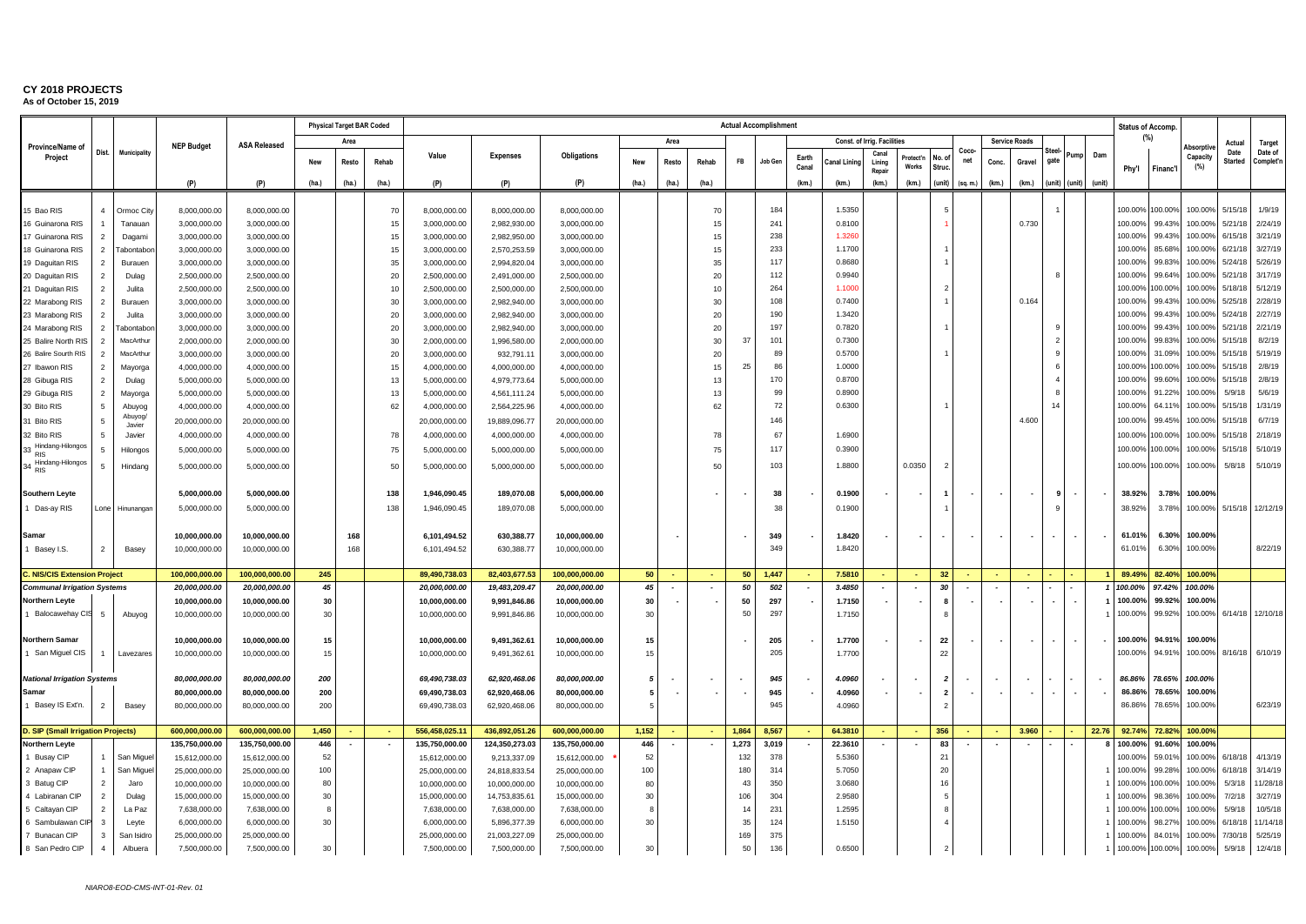|                                                                         |                          |                         |                                 |                                 |            | <b>Physical Target BAR Coded</b> |          |                                |                                |                                 |           |       |                |            | <b>Actual Accomplishment</b> |       |                  |                             |                          |                          |             |                          |                      |                          |                          |                          | <b>Status of Accomp</b> |                   |                    |                        |                      |
|-------------------------------------------------------------------------|--------------------------|-------------------------|---------------------------------|---------------------------------|------------|----------------------------------|----------|--------------------------------|--------------------------------|---------------------------------|-----------|-------|----------------|------------|------------------------------|-------|------------------|-----------------------------|--------------------------|--------------------------|-------------|--------------------------|----------------------|--------------------------|--------------------------|--------------------------|-------------------------|-------------------|--------------------|------------------------|----------------------|
| Province/Name of                                                        |                          |                         | <b>NEP Budget</b>               | <b>ASA Released</b>             |            | Area                             |          |                                |                                |                                 |           | Area  |                |            |                              |       |                  | Const. of Irrig. Facilities |                          |                          |             |                          | <b>Service Roads</b> |                          |                          |                          | (%)                     |                   | Absorptiv          | Actual                 | Target               |
| Project                                                                 | Dist.                    | Municipality            |                                 |                                 | <b>New</b> | Resto                            | Rehab    | Value                          | <b>Expenses</b>                | Obligations                     | New       | Resto | Rehab          | <b>FB</b>  | Job Gen                      | Earth | anal Lining      | Cana<br>Lining              | Protect'                 | lo. o                    | Coco<br>net | Conc.                    | Gravel               | Steel<br>gate            | Pump                     | Dam                      |                         |                   | Capacity           | Date<br><b>Started</b> | Date of<br>Complet'r |
|                                                                         |                          |                         |                                 |                                 |            |                                  |          |                                |                                |                                 |           |       |                |            |                              | Canal |                  | Repair                      | <b>Works</b>             | Struc.                   |             |                          |                      |                          |                          |                          | Phy'l                   | Financ'l          | (%)                |                        |                      |
|                                                                         |                          |                         | (P)                             | (P)                             | (ha.)      | (ha.)                            | (ha.)    | (P)                            | (P)                            | (P)                             | (ha.)     | (ha.) | (ha.)          |            |                              | (km.) | (km.)            | (km.)                       | (km.)                    | (unit)                   | (sq. m.)    | (km.)                    | (km.) (unit) (unit)  |                          |                          | (unit)                   |                         |                   |                    |                        |                      |
|                                                                         | $\overline{4}$           |                         |                                 |                                 |            |                                  |          |                                |                                |                                 |           |       |                |            |                              |       |                  |                             |                          | 5                        |             |                          |                      |                          |                          |                          |                         |                   |                    |                        | 1/9/19               |
| 15 Bao RIS<br>16 Guinarona RIS                                          |                          | Ormoc City<br>Tanauan   | 8,000,000.00<br>3,000,000.00    | 8,000,000.00<br>3,000,000.00    |            |                                  | 70<br>15 | 8,000,000.00<br>3,000,000.00   | 8,000,000.00<br>2,982,930.00   | 8,000,000.00<br>3,000,000.00    |           |       | 70<br>15       |            | 184<br>241                   |       | 1.5350<br>0.8100 |                             |                          |                          |             |                          | 0.730                |                          |                          |                          | 100.00%<br>100.00%      | 100.00%<br>99.43% | 100.00%<br>100.00% | 5/15/18<br>5/21/18     | 2/24/19              |
| 17 Guinarona RIS                                                        | $\overline{2}$           | Dagami                  | 3,000,000.00                    | 3,000,000.00                    |            |                                  | 15       | 3,000,000.00                   | 2,982,950.00                   | 3,000,000.00                    |           |       | 15             |            | 238                          |       | 1.326            |                             |                          |                          |             |                          |                      |                          |                          |                          | 100.00%                 | 99.43%            | 100.00%            | 6/15/18                | 3/21/19              |
| 18 Guinarona RIS                                                        | $\overline{\phantom{0}}$ | abontabo                | 3,000,000.00                    | 3,000,000.00                    |            |                                  | 15       | 3,000,000.00                   | 2,570,253.59                   | 3,000,000.00                    |           |       |                |            | 233                          |       | 1.1700           |                             |                          |                          |             |                          |                      |                          |                          |                          | 100.00%                 | 85.68%            | 100.00%            | 6/21/18                | 3/27/19              |
| 19 Daguitan RIS                                                         | $\overline{2}$           | Burauer                 | 3,000,000.00                    | 3,000,000.00                    |            |                                  | 35       | 3,000,000.00                   | 2,994,820.04                   | 3,000,000.00                    |           |       | 35             |            | 117                          |       | 0.8680           |                             |                          |                          |             |                          |                      |                          |                          |                          | 100.00%                 | 99.83%            | 100.00%            | 5/24/18                | 5/26/19              |
| 20 Daguitan RIS                                                         |                          | Dulag                   | 2,500,000.00                    | 2,500,000.00                    |            |                                  | 20       | 2,500,000.00                   | 2,491,000.00                   | 2,500,000.00                    |           |       | 20             |            | 112                          |       | 0.9940           |                             |                          |                          |             |                          |                      |                          |                          |                          | 100.00%                 | 99.64%            | 100.00%            | 5/21/18                | 3/17/19              |
| 21 Daguitan RIS                                                         | $\overline{2}$           | Julita                  | 2,500,000.00                    | 2,500,000.00                    |            |                                  | 10       | 2,500,000.00                   | 2,500,000.00                   | 2,500,000.00                    |           |       | 10             |            | 264                          |       | 1.1000           |                             |                          | $\overline{2}$           |             |                          |                      |                          |                          |                          | 100.00%                 | 100.00%           | 100.00%            | 5/18/18                | 5/12/19              |
| 22 Marabong RIS                                                         | 2                        | Burauer                 | 3,000,000.00                    | 3,000,000.00                    |            |                                  | 30       | 3,000,000.00                   | 2,982,940.00                   | 3,000,000.00                    |           |       | 3 <sub>0</sub> |            | 108                          |       | 0.7400           |                             |                          |                          |             |                          | 0.164                |                          |                          |                          | 100.00%                 | 99.43%            | 100.00%            | 5/25/18                | 2/28/19              |
| 23 Marabong RIS                                                         | $\overline{\phantom{0}}$ | Julita                  | 3,000,000.00                    | 3,000,000.00                    |            |                                  | 20       | 3,000,000.00                   | 2,982,940.00                   | 3,000,000.00                    |           |       | 20             |            | 190                          |       | 1.3420           |                             |                          |                          |             |                          |                      |                          |                          |                          | 100.00%                 | 99.43%            | 100.00%            | 5/24/18                | 2/27/19              |
| 24 Marabong RIS                                                         | 2                        | abontabor               | 3,000,000.00                    | 3,000,000.00                    |            |                                  | 20       | 3,000,000.00                   | 2,982,940.00                   | 3,000,000.00                    |           |       | $\overline{2}$ |            | 197                          |       | 0.7820           |                             |                          |                          |             |                          |                      |                          |                          |                          | 100.00%                 | 99.43%            | 100.00%            | 5/21/18                | 2/21/19              |
| 25 Balire North RIS                                                     | $\overline{2}$           | MacArthur               | 2,000,000.00                    | 2,000,000.00                    |            |                                  | 30       | 2,000,000.00                   | 1,996,580.00                   | 2,000,000.00                    |           |       | 30             | 37         | 101                          |       | 0.7300           |                             |                          |                          |             |                          |                      |                          |                          |                          | 100.00%                 | 99.83%            | 100.00%            | 5/15/18                | 8/2/19               |
| 26 Balire Sourth RIS                                                    | $\overline{2}$           | MacArthur               | 3,000,000.00                    | 3,000,000.00                    |            |                                  | 20       | 3,000,000.00                   | 932,791.11                     | 3,000,000.00                    |           |       | 20             |            | 89                           |       | 0.5700           |                             |                          |                          |             |                          |                      |                          |                          |                          | 100.00%                 | 31.09%            | 100.00%            | 5/15/18                | 5/19/19              |
| 27 Ibawon RIS                                                           | 2                        | Mayorga                 | 4,000,000.00                    | 4,000,000.00                    |            |                                  | 15       | 4,000,000.00                   | 4,000,000.00                   | 4,000,000.00                    |           |       | 15             | 25         | 86                           |       | 1.0000           |                             |                          |                          |             |                          |                      |                          |                          |                          | 100.00%                 | 100.00%           | 100.00%            | 5/15/18                | 2/8/19               |
| 28 Gibuga RIS                                                           | $\overline{2}$           | Dulag                   | 5,000,000.00                    | 5,000,000.00                    |            |                                  | 13       | 5,000,000.00                   | 4,979,773.64                   | 5,000,000.00                    |           |       | 13             |            | 170                          |       | 0.8700           |                             |                          |                          |             |                          |                      |                          |                          |                          | 100.00%                 | 99.60%            | 100.00%            | 5/15/18                | 2/8/19               |
| 29 Gibuga RIS                                                           | $\overline{2}$           | Mayorga                 | 5,000,000.00                    | 5,000,000.00                    |            |                                  | 13       | 5,000,000.00                   | 4,561,111.24                   | 5,000,000.00                    |           |       | 13             |            | 99                           |       | 0.8900           |                             |                          |                          |             |                          |                      |                          |                          |                          | 100.00%                 | 91.22%            | 100.00%            | 5/9/18                 | 5/6/19               |
| 30 Bito RIS                                                             | -5                       | Abuyog<br>Abuyog/       | 4,000,000.00                    | 4,000,000.00                    |            |                                  | 62       | 4,000,000.00                   | 2,564,225.96                   | 4,000,000.00                    |           |       | 62             |            | 72                           |       | 0.6300           |                             |                          |                          |             |                          |                      | 14                       |                          |                          | 100.00%                 | 64.119            | 100.00%            | 5/15/1                 | 1/31/19              |
| 31 Bito RIS                                                             |                          | Javier                  | 20,000,000.00                   | 20,000,000.00                   |            |                                  |          | 20,000,000.00                  | 19,889,096.77                  | 20,000,000.00                   |           |       |                |            | 146                          |       |                  |                             |                          |                          |             |                          | 4.600                |                          |                          |                          | 100.00%                 | 99.45%            | 100.00%            | 5/15/18                | 6/7/19               |
| 32 Bito RIS                                                             | 5                        | Javier                  | 4,000,000.00                    | 4,000,000.00                    |            |                                  | 78       | 4,000,000.00                   | 4,000,000.00                   | 4,000,000.00                    |           |       | 78             |            | 67                           |       | 1.6900           |                             |                          |                          |             |                          |                      |                          |                          |                          | 100.00%                 | 100.00%           | 100.00%            | 5/15/18                | 2/18/19              |
| Hindang-Hilongos<br><b>RIS</b>                                          | 5                        | Hilongos                | 5,000,000.00                    | 5,000,000.00                    |            |                                  | 75       | 5,000,000.00                   | 5,000,000.00                   | 5,000,000.00                    |           |       | 75             |            | 11                           |       | 0.3900           |                             |                          |                          |             |                          |                      |                          |                          |                          | 100.00%                 | 100.00%           | 100.00%            | 5/15/18                | 5/10/19              |
| Hindang-Hilongos<br><b>RIS</b>                                          | 5                        | Hindang                 | 5,000,000.00                    | 5,000,000.00                    |            |                                  | 50       | 5,000,000.00                   | 5,000,000.00                   | 5,000,000.00                    |           |       | 50             |            | 103                          |       | 1.8800           |                             | 0.0350                   | $\overline{2}$           |             |                          |                      |                          |                          |                          | 100.00%                 | 100.00%           | 100.00%            | 5/8/18                 | 5/10/19              |
|                                                                         |                          |                         |                                 |                                 |            |                                  |          |                                |                                |                                 |           |       |                |            |                              |       |                  |                             |                          |                          |             |                          |                      |                          |                          |                          |                         |                   |                    |                        |                      |
| <b>Southern Levte</b>                                                   |                          |                         | 5.000.000.00                    | 5.000.000.00                    |            |                                  | 138      | 1.946.090.45                   | 189.070.08                     | 5.000.000.00                    |           |       |                |            | 38                           |       | 0.1900           |                             |                          | $\overline{1}$           |             |                          |                      | -9                       |                          |                          | 38.92%                  | 3.78%             | 100.00%            |                        |                      |
| 1 Das-ay RIS                                                            | Lone                     | Hinunangar              | 5,000,000.00                    | 5,000,000.00                    |            |                                  | 138      | 1,946,090.45                   | 189,070.08                     | 5,000,000.00                    |           |       |                |            | 38                           |       | 0.1900           |                             |                          |                          |             |                          |                      |                          |                          |                          | 38.92%                  | 3.78%             | 100.00%            |                        | 5/15/18 12/12/19     |
|                                                                         |                          |                         |                                 |                                 |            |                                  |          |                                |                                |                                 |           |       |                |            |                              |       |                  |                             |                          |                          |             |                          |                      |                          |                          |                          |                         |                   |                    |                        |                      |
| Samar                                                                   |                          |                         | 10,000,000.00                   | 10,000,000.00                   |            | 168                              |          | 6,101,494.52                   | 630,388.77                     | 10,000,000.00                   |           |       |                |            | 349                          |       | 1.8420           |                             |                          | $\overline{\phantom{a}}$ |             | $\overline{\phantom{a}}$ |                      | $\overline{\phantom{a}}$ | $\sim$                   | $\overline{\phantom{a}}$ | 61.01%                  | 6.30%             | 100.00%            |                        |                      |
| Basey I.S.                                                              | $\overline{2}$           | Basey                   | 10,000,000.00                   | 10,000,000.00                   |            | 168                              |          | 6,101,494.52                   | 630,388.77                     | 10,000,000.00                   |           |       |                |            | 349                          |       | 1.8420           |                             |                          |                          |             |                          |                      |                          |                          |                          | 61.01%                  | 6.30%             | 100.00%            |                        | 8/22/19              |
|                                                                         |                          |                         |                                 |                                 |            |                                  |          |                                |                                |                                 |           |       |                |            |                              |       |                  |                             |                          |                          |             |                          |                      |                          |                          |                          |                         |                   |                    |                        |                      |
| <b> NIS/CIS Extension Project</b><br><b>Communal Irrigation Systems</b> |                          |                         | 100,000,000.00<br>20,000,000.00 | 100,000,000.00<br>20,000,000.00 | 245<br>45  |                                  |          | 89,490,738.03<br>20,000,000.00 | 82,403,677.53<br>19,483,209.47 | 100,000,000.00<br>20,000,000.00 | 50<br>45  |       |                | 50<br>50   | 1,447<br>502                 |       | 7.5810<br>3.4850 |                             | $\overline{\phantom{a}}$ | 32<br>30                 |             |                          |                      |                          |                          | $\mathbf{1}$             | 89.49%<br>100.00%       | 82.40%<br>97.42%  | 100.00%<br>100.00% |                        |                      |
| Northern Leyte                                                          |                          |                         | 10,000,000.00                   | 10,000,000.00                   | 30         |                                  |          | 10,000,000.00                  | 9,991,846.86                   | 10,000,000.00                   | 30        |       |                | 50         | 297                          |       | 1.7150           |                             |                          | 8                        |             |                          |                      | $\overline{\phantom{a}}$ |                          | $\overline{1}$           | 100.00%                 | 99.92%            | 100.00%            |                        |                      |
| Balocawehay CIS                                                         | 5                        | Abuyog                  | 10,000,000.00                   | 10,000,000.00                   | 30         |                                  |          | 10,000,000.00                  | 9,991,846.86                   | 10,000,000.00                   | 30        |       |                | 50         | 297                          |       | 1.7150           |                             |                          | 8                        |             |                          |                      |                          |                          |                          | 100.00%                 | 99.92%            | 100.00%            |                        | 6/14/18 12/10/18     |
|                                                                         |                          |                         |                                 |                                 |            |                                  |          |                                |                                |                                 |           |       |                |            |                              |       |                  |                             |                          |                          |             |                          |                      |                          |                          |                          |                         |                   |                    |                        |                      |
| <b>Northern Samar</b>                                                   |                          |                         | 10,000,000.00                   | 10,000,000.00                   | 15         |                                  |          | 10,000,000.00                  | 9,491,362.61                   | 10,000,000.00                   | 15        |       |                |            | 205                          |       | 1.7700           |                             |                          | 22                       |             |                          |                      |                          |                          |                          | 100.00%                 | 94.91%            | 100.00%            |                        |                      |
| San Miguel CIS                                                          |                          | Lavezares               | 10,000,000.00                   | 10,000,000.00                   | 15         |                                  |          | 10,000,000.00                  | 9,491,362.61                   | 10,000,000.00                   | 15        |       |                |            | 205                          |       | 1.7700           |                             |                          | 22                       |             |                          |                      |                          |                          |                          | 100.00%                 | 94.91%            | 100.00%            | 8/16/18                | 6/10/19              |
|                                                                         |                          |                         |                                 |                                 |            |                                  |          |                                |                                |                                 |           |       |                |            |                              |       |                  |                             |                          |                          |             |                          |                      |                          |                          |                          |                         |                   |                    |                        |                      |
| <b>National Irrigation Systems</b>                                      |                          |                         | 80,000,000.00                   | 80,000,000.00                   | 200        |                                  |          | 69,490,738.03                  | 62,920,468.06                  | 80,000,000.00                   | 5         |       |                |            | 945                          |       | 4.0960           |                             | $\overline{\phantom{a}}$ | $\overline{2}$           |             |                          |                      |                          |                          |                          | 86.86%                  | 78.65%            | 100.00%            |                        |                      |
| amar                                                                    |                          |                         | 80,000,000.00                   | 80,000,000.00                   | 200        |                                  |          | 69,490,738.03                  | 62,920,468.06                  | 80,000,000.00                   | 5         |       |                |            | 945                          |       | 4.0960           |                             |                          | $\overline{\mathbf{2}}$  |             |                          |                      | $\overline{\phantom{a}}$ | $\overline{\phantom{a}}$ |                          | 86.86%                  | 78.65%            | 100.00%            |                        |                      |
| Basey IS Ext'n.                                                         | $\overline{2}$           | Basey                   | 80,000,000.00                   | 80,000,000.00                   | 200        |                                  |          | 69,490,738.03                  | 62,920,468.06                  | 80,000,000.00                   |           |       |                |            | 945                          |       | 4.0960           |                             |                          | $\overline{2}$           |             |                          |                      |                          |                          |                          | 86.869                  | 78.65%            | 100.00%            |                        | 6/23/19              |
|                                                                         |                          |                         |                                 |                                 |            |                                  |          |                                |                                |                                 |           |       |                |            |                              |       |                  |                             |                          |                          |             |                          |                      |                          |                          |                          |                         |                   |                    |                        |                      |
| <b>SIP (Small Irrigation Projects)</b>                                  |                          |                         | 600.000.000.00                  | 600.000.000.00                  | 1,450      |                                  |          | 556,458,025.11                 | 436,892,051.26                 | 600.000.000.00                  | 1,152     |       |                | 1,864      | 8,567                        |       | 64.3810          |                             |                          | 356                      |             |                          | 3.960                |                          |                          | 22.76                    | 92.74                   | 72.82%            | 100.00%            |                        |                      |
| <b>Northern Leyte</b>                                                   |                          |                         | 135,750,000.00                  | 135,750,000.00                  | 446<br>52  |                                  |          | 135,750,000.00                 | 124,350,273.03                 | 135,750,000.00                  | 446<br>52 |       |                | 1,273      | 3,019                        |       | 22.3610          |                             |                          | 83                       |             |                          |                      |                          |                          |                          | 100.00%                 | 91.60%            | 100.00%            | 6/18/18                |                      |
| <b>Busay CIP</b><br>2 Anapaw CIP                                        | $\mathbf{1}$             | San Miguel<br>San Migue | 15,612,000.00<br>25,000,000.00  | 15,612,000.00<br>25,000,000.00  | 100        |                                  |          | 15,612,000.00<br>25,000,000.00 | 9,213,337.09<br>24,818,833.54  | 15,612,000.00<br>25,000,000.00  | 100       |       |                | 132<br>180 | 378<br>314                   |       | 5.5360<br>5.7050 |                             |                          | 21<br>20                 |             |                          |                      |                          |                          |                          | 100.00%<br>100.00%      | 59.01%<br>99.28%  | 100.00%<br>100.00% | 6/18/18                | 4/13/19<br>3/14/19   |
| 3 Batug CIP                                                             | $\overline{2}$           | Jaro                    | 10,000,000.00                   | 10,000,000.00                   | 80         |                                  |          | 10,000,000.00                  | 10,000,000.00                  | 10,000,000.00                   | 80        |       |                | 43         | 350                          |       | 3.0680           |                             |                          | 16                       |             |                          |                      |                          |                          |                          | 100.00%                 | 100.00%           | 100.00%            | 5/3/18                 | 11/28/18             |
| Labiranan CIP                                                           | $\overline{2}$           | Dulag                   | 15,000,000.00                   | 15,000,000.00                   | 30         |                                  |          | 15,000,000.00                  | 14,753,835.61                  | 15,000,000.00                   | 30        |       |                | 106        | 304                          |       | 2.9580           |                             |                          | 5                        |             |                          |                      |                          |                          | $\mathbf{1}$             | 100.00%                 | 98.36%            | 100.00%            | 7/2/18                 | 3/27/19              |
| Caltayan CIP                                                            | 2                        | La Paz                  | 7,638,000.00                    | 7,638,000.00                    | 8          |                                  |          | 7,638,000.00                   | 7,638,000.00                   | 7,638,000.00                    |           |       |                | 14         | 231                          |       | 1.2595           |                             |                          | 8                        |             |                          |                      |                          |                          |                          | 100.00%                 | 100.00%           | 100.00%            | 5/9/18                 | 10/5/18              |
| 6 Sambulawan Cll                                                        | $\mathbf{3}$             | Leyte                   | 6,000,000.00                    | 6,000,000.00                    | 30         |                                  |          | 6,000,000.00                   | 5,896,377.39                   | 6,000,000.00                    | 30        |       |                | 35         | 124                          |       | 1.5150           |                             |                          |                          |             |                          |                      |                          |                          | $\overline{1}$           | 100.00%                 | 98.27%            | 100.00%            | 6/18/18                | 11/14/18             |
| Bunacan CIP                                                             | $\mathbf{3}$             | San Isidro              | 25,000,000.00                   | 25,000,000.00                   |            |                                  |          | 25,000,000.00                  | 21,003,227.09                  | 25,000,000.00                   |           |       |                | 169        | 375                          |       |                  |                             |                          |                          |             |                          |                      |                          |                          | $\overline{1}$           | 100.00%                 | 84.01%            | 100.00%            | 7/30/18                | 5/25/19              |
| 8 San Pedro CIP                                                         | $\overline{4}$           | Albuera                 | 7,500,000.00                    | 7,500,000.00                    | 30         |                                  |          | 7,500,000.00                   | 7,500,000.00                   | 7,500,000.00                    | 30        |       |                | 50         | 136                          |       | 0.6500           |                             |                          |                          |             |                          |                      |                          |                          |                          | 1 100.00%               | 100.00%           | 100.00%            | 5/9/18                 | 12/4/18              |
|                                                                         |                          |                         |                                 |                                 |            |                                  |          |                                |                                |                                 |           |       |                |            |                              |       |                  |                             |                          |                          |             |                          |                      |                          |                          |                          |                         |                   |                    |                        |                      |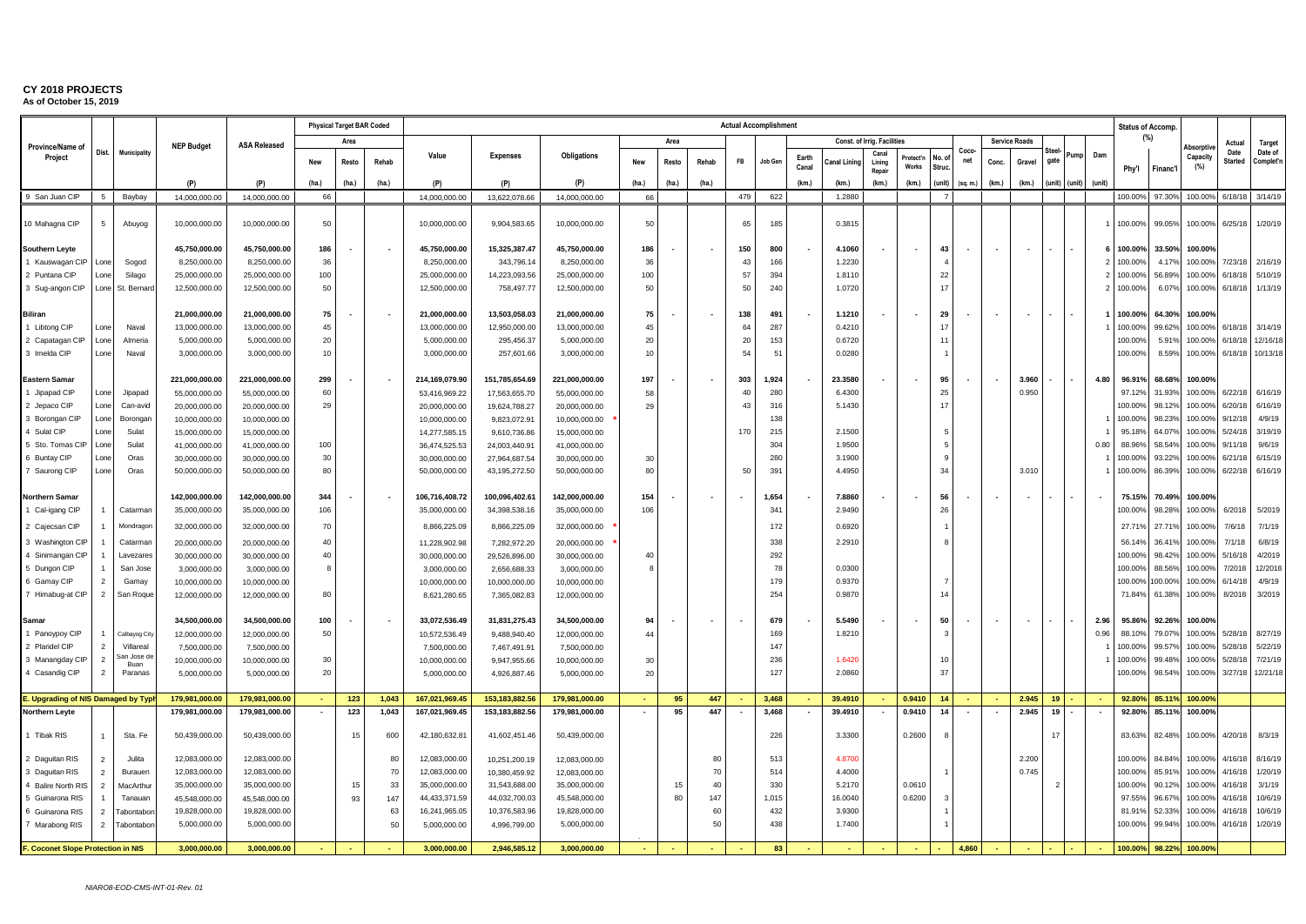|                                           |                                  |                         |                               |                               |          |       | <b>Physical Target BAR Coded</b> |                               |                              |                               |          |       |       |          | <b>Actual Accomplishment</b> |                |                  |                             |                          |               |                          |       |                          |        |        |        |                    | <b>Status of Accomp.</b> |                    |                        |                      |
|-------------------------------------------|----------------------------------|-------------------------|-------------------------------|-------------------------------|----------|-------|----------------------------------|-------------------------------|------------------------------|-------------------------------|----------|-------|-------|----------|------------------------------|----------------|------------------|-----------------------------|--------------------------|---------------|--------------------------|-------|--------------------------|--------|--------|--------|--------------------|--------------------------|--------------------|------------------------|----------------------|
| Province/Name of                          |                                  |                         | <b>NEP Budget</b>             | <b>ASA Released</b>           |          | Area  |                                  |                               |                              |                               |          | Area  |       |          |                              |                |                  | Const. of Irrig. Facilities |                          |               |                          |       | <b>Service Roads</b>     |        |        |        |                    | (%)                      | Absorptiv          | Actual                 | Target               |
| Project                                   | Dist.                            | Municipality            |                               |                               | New      | Resto | Rehab                            | Value                         | <b>Expenses</b>              | Obligations                   |          | Resto | Rehab | FB       | Job Gen                      | Earth<br>Canal | Canal Linino     | Cana<br>Lining              | Protect'n<br>Works       | No.c<br>Struc | Coco-<br>net             | Conc. | Gravel                   | gate   | Pump   | Dam    | Phy'l              | Financ'l                 | Capacity<br>(%)    | Date<br><b>Started</b> | Date of<br>Complet'n |
|                                           |                                  |                         | (P)                           | (P)                           | (ha.)    | (ha.) | (ha.)                            | (P)                           | (P)                          | (P)                           | (ha.)    | (ha.) | (ha.) |          |                              | (km.)          | (km.)            | Repair<br>(km.)             | (km.)                    | (unit)        | (sq. m.)                 | (km.) | (km.)                    | (unit) | (unit) | (unit) |                    |                          |                    |                        |                      |
| 9 San Juan CIP                            | 5                                | Baybay                  | 14,000,000.00                 | 14,000,000.00                 | 66       |       |                                  | 14,000,000.00                 | 13.622.078.66                | 14.000.000.00                 | 66       |       |       | 479      | 622                          |                | 1.2880           |                             |                          | - 7           |                          |       |                          |        |        |        | 100.00%            | 97.30%                   | 100.00%            | 6/18/18                | 3/14/19              |
|                                           |                                  |                         |                               |                               |          |       |                                  |                               |                              |                               |          |       |       |          |                              |                |                  |                             |                          |               |                          |       |                          |        |        |        |                    |                          |                    |                        |                      |
| 10 Mahagna CIP                            | 5                                | Abuyog                  | 10,000,000.00                 | 10,000,000.00                 | 50       |       |                                  | 10,000,000.00                 | 9,904,583.65                 | 10,000,000.00                 | 50       |       |       | 65       | 185                          |                | 0.3815           |                             |                          |               |                          |       |                          |        |        |        | 100.00%            | 99.05%                   | 100.00%            | 6/25/18                | 1/20/19              |
| Southern Leyte                            |                                  |                         | 45,750,000.00                 | 45,750,000.00                 | 186      |       |                                  | 45,750,000.00                 | 15,325,387.47                | 45,750,000.00                 | 186      |       |       | 150      | 800                          |                | 4.1060           |                             | $\overline{\phantom{a}}$ | 43            |                          |       | $\blacksquare$           |        |        |        | 100.00%            | 33.50%                   | 100.00%            |                        |                      |
| 1 Kauswagan CIP                           | Lone                             | Sogod                   | 8,250,000.00                  | 8.250.000.00                  | 36       |       |                                  | 8.250.000.00                  | 343,796.14                   | 8,250,000.00                  | 36       |       |       | 43       | 166                          |                | 1.2230           |                             |                          |               |                          |       |                          |        |        |        | 100.00%            | 4.17%                    | 100.00%            | 7/23/18                | 2/16/19              |
| 2 Puntana CIP                             | Lone                             | Silago                  | 25,000,000.00                 | 25,000,000.00                 | 100      |       |                                  | 25,000,000.00                 | 14,223,093.56                | 25,000,000.00                 | 100      |       |       | 57       | 394                          |                | 1.8110           |                             |                          | 22            |                          |       |                          |        |        |        | 100.00%            | 56.899                   | 100.00%            | 6/18/18                | 5/10/19              |
| 3 Sug-angon CIP                           | Lone                             | St. Bernar              | 12,500,000.00                 | 12,500,000.00                 | 50       |       |                                  | 12,500,000.00                 | 758,497.77                   | 12,500,000.00                 | 50       |       |       | 50       | 240                          |                | 1.0720           |                             |                          | 17            |                          |       |                          |        |        |        | 100.00%            | 6.079                    | 100.00%            | 6/18/18                | 1/13/19              |
|                                           |                                  |                         |                               |                               |          |       |                                  |                               |                              |                               |          |       |       |          |                              |                |                  |                             |                          |               |                          |       |                          |        |        |        |                    |                          |                    |                        |                      |
| <b>Biliran</b>                            |                                  |                         | 21,000,000.00                 | 21,000,000.00                 | 75       |       |                                  | 21,000,000.00                 | 13,503,058.03                | 21,000,000.00                 | 75       |       |       | 138      | 491                          |                | 1.1210           |                             |                          | 29<br>17      |                          |       |                          |        |        |        | 100.00%            | 64.30%                   | 100.00%            |                        |                      |
| 1 Libtong CIP                             | Lone                             | Naval                   | 13,000,000.00                 | 13,000,000.00                 | 45       |       |                                  | 13,000,000.00                 | 12,950,000.00                | 13,000,000.00                 | 45       |       |       | 64       | 287                          |                | 0.4210           |                             |                          | 11            |                          |       |                          |        |        |        | 100.009            | 99.629                   | 100.00%            | 6/18/18                | 3/14/19              |
| 2 Capatagan CIP<br>3 Imelda CIP           | Lone                             | Almeria<br>Naval        | 5,000,000.00<br>3,000,000.00  | 5,000,000.00<br>3,000,000.00  | 20<br>10 |       |                                  | 5,000,000.00<br>3,000,000.00  | 295,456.37<br>257,601.66     | 5,000,000.00<br>3,000,000.00  | 20<br>10 |       |       | 20<br>54 | 153<br>51                    |                | 0.6720<br>0.0280 |                             |                          |               |                          |       |                          |        |        |        | 100.00%<br>100.00% | 5.91%<br>8.59%           | 100.00%<br>100.00% | 6/18/18<br>6/18/18     | 12/16/18<br>10/13/18 |
|                                           | Lone                             |                         |                               |                               |          |       |                                  |                               |                              |                               |          |       |       |          |                              |                |                  |                             |                          |               |                          |       |                          |        |        |        |                    |                          |                    |                        |                      |
| <b>Eastern Samar</b>                      |                                  |                         | 221,000,000.00                | 221,000,000.00                | 299      |       |                                  | 214,169,079.90                | 151,785,654.69               | 221,000,000.00                | 197      |       |       | 303      | 1,924                        |                | 23.3580          |                             |                          | 95            |                          |       | 3.960                    |        |        | 4.80   | 96.919             | 68.68%                   | 100.00%            |                        |                      |
| 1 Jipapad CIP                             | Lone                             | Jipapad                 | 55,000,000.00                 | 55,000,000.00                 | 60       |       |                                  | 53,416,969.22                 | 17,563,655.70                | 55,000,000.00                 | 58       |       |       | 40       | 280                          |                | 6.4300           |                             |                          | 25            |                          |       | 0.950                    |        |        |        | 97.12%             | 31.93%                   | 100.00%            | 6/22/18                | 6/16/19              |
| 2 Jepaco CIP                              | Lone                             | Can-avid                | 20,000,000.00                 | 20,000,000.00                 | 29       |       |                                  | 20,000,000.00                 | 19,624,788.27                | 20,000,000.00                 | 29       |       |       | 43       | 316                          |                | 5.1430           |                             |                          | 17            |                          |       |                          |        |        |        | 100.009            | 98.129                   | 100.00%            | 6/20/18                | 6/16/19              |
| 3 Borongan CIP                            | Lone                             | Boronga                 | 10,000,000.00                 | 10,000,000.00                 |          |       |                                  | 10,000,000.00                 | 9,823,072.91                 | 10,000,000.00                 |          |       |       |          | 138                          |                |                  |                             |                          |               |                          |       |                          |        |        |        | 100.00%            | 98.23%                   | 100.00%            | 9/12/18                | 4/9/19               |
| 4 Sulat CIP                               | l one                            | Sulat                   | 15,000,000.00                 | 15,000,000.00                 |          |       |                                  | 14,277,585.15                 | 9,610,736.86                 | 15,000,000.00                 |          |       |       | 170      | 215                          |                | 2.1500           |                             |                          |               |                          |       |                          |        |        |        | 95.18%             | 64.079                   | 100.00%            | 5/24/18                | 3/19/19              |
| 5 Sto. Tomas CIP                          | Lone                             | Sulat                   | 41,000,000.00                 | 41,000,000.00                 | 100      |       |                                  | 36,474,525.53                 | 24,003,440.91                | 41,000,000.00                 |          |       |       |          | 304                          |                | 1,9500           |                             |                          |               |                          |       |                          |        |        | 0.80   | 88.96%             | 58.549                   | 100.00%            | 9/11/18                | 9/6/19               |
| 6 Buntay CIP                              | Lone                             | Oras                    | 30,000,000.00                 | 30,000,000.00                 | 30       |       |                                  | 30,000,000.00                 | 27,964,687.54                | 30,000,000.00                 | 30       |       |       |          | 280                          |                | 3.1900           |                             |                          |               |                          |       |                          |        |        |        | 100.00%            | 93.229                   | 100.00%            | 6/21/18                | 6/15/19              |
| 7 Saurong CIP                             | Lone                             | Oras                    | 50,000,000.00                 | 50,000,000.00                 | 80       |       |                                  | 50,000,000.00                 | 43,195,272.50                | 50,000,000.00                 | 80       |       |       | 50       | 391                          |                | 4.4950           |                             |                          | 34            |                          |       | 3.010                    |        |        |        | 100.00%            | 86.39%                   | 100.00%            | 6/22/18                | 6/16/19              |
| <b>Northern Samar</b>                     |                                  |                         | 142,000,000.00                | 142,000,000.00                | 344      |       |                                  | 106,716,408.72                | 100,096,402.61               | 142,000,000.00                | 154      |       |       |          | 1,654                        |                | 7,8860           |                             |                          | 56            |                          |       | $\overline{\phantom{a}}$ |        |        |        | 75.15              | 70.49%                   | 100.00%            |                        |                      |
| 1 Cal-igang CIP                           |                                  | Catarmar                | 35,000,000.00                 | 35,000,000.00                 | 106      |       |                                  | 35,000,000.00                 | 34,398,538.16                | 35,000,000.00                 | 106      |       |       |          | 34                           |                | 2.9490           |                             |                          | 26            |                          |       |                          |        |        |        | 100.00             | 98.28%                   | 100.00%            | 6/2018                 | 5/2019               |
| 2 Cajecsan CIP                            |                                  | Mondragor               | 32,000,000.00                 | 32,000,000.00                 | 70       |       |                                  | 8,866,225.09                  | 8,866,225.09                 | 32,000,000.00                 |          |       |       |          | 172                          |                | 0.6920           |                             |                          |               |                          |       |                          |        |        |        | 27.7'              | 27.719                   | 100.00%            | 7/6/18                 | 7/1/19               |
| 3 Washington CIP                          |                                  | Catarmar                | 20,000,000.00                 | 20,000,000.00                 | 40       |       |                                  | 11,228,902.98                 | 7,282,972.20                 | 20,000,000.00                 |          |       |       |          | 338                          |                | 2.2910           |                             |                          |               |                          |       |                          |        |        |        | 56.14              | 36.419                   | 100.00%            | 7/1/18                 | 6/8/19               |
| 4 Sinimangan CIP                          |                                  | Lavezare                | 30,000,000.00                 | 30,000,000.00                 | 40       |       |                                  | 30,000,000.00                 | 29,526,896.00                | 30,000,000.00                 | 40       |       |       |          | 292                          |                |                  |                             |                          |               |                          |       |                          |        |        |        | 100.00             | 98.42%                   | 100.00%            | 5/16/18                | 4/2019               |
| 5 Dungon CIP                              |                                  | San Jose                | 3,000,000.00                  | 3,000,000.00                  | 8        |       |                                  | 3,000,000.00                  | 2,656,688.33                 | 3,000,000.00                  | 8        |       |       |          | 78                           |                | 0.0300           |                             |                          |               |                          |       |                          |        |        |        | 100.00             | 88.56%                   | 100.00%            | 7/2018                 | 12/2018              |
| 6 Gamay CIP                               | $\overline{2}$                   | Gamay                   | 10,000,000.00                 | 10,000,000.00                 |          |       |                                  | 10,000,000.00                 | 10,000,000.00                | 10,000,000.00                 |          |       |       |          | 179                          |                | 0.9370           |                             |                          |               |                          |       |                          |        |        |        | 100.009            | 100.00%                  | 100.00%            | 6/14/18                | 4/9/19               |
| 7 Himabug-at CIP                          | $\overline{2}$                   | San Roque               | 12,000,000.00                 | 12,000,000.00                 | 80       |       |                                  | 8,621,280.65                  | 7,365,082.83                 | 12,000,000.00                 |          |       |       |          | 254                          |                | 0.9870           |                             |                          |               |                          |       |                          |        |        |        | 71.84%             | 61.38%                   | 100.00%            | 8/2018                 | 3/2019               |
|                                           |                                  |                         |                               |                               |          |       |                                  |                               |                              |                               |          |       |       |          |                              |                |                  |                             |                          |               |                          |       |                          |        |        |        |                    |                          |                    |                        |                      |
| Samar                                     |                                  |                         | 34,500,000.00                 | 34,500,000.00                 | 100      |       |                                  | 33,072,536.49                 | 31,831,275.43                | 34,500,000.00                 | 94       |       |       | $\sim$   | 679                          |                | 5.5490           |                             |                          | 50            |                          |       | $\blacksquare$           |        |        | 2.96   | 95.86%             | 92.26%                   | 100.00%            |                        |                      |
| 1 Panoypoy CIP                            |                                  | Calbayog Cit            | 12,000,000.00                 | 12,000,000.00                 | 50       |       |                                  | 10,572,536.49                 | 9,488,940.40                 | 12,000,000.00                 | 44       |       |       |          | 169                          |                | 1.8210           |                             |                          |               |                          |       |                          |        |        | 0.96   | 88.10%             | 79.07%                   | 100.00%            | 5/28/18                | 8/27/19              |
| 2 Plaridel CIP                            | $\overline{2}$<br>$\overline{2}$ | Villareal<br>San Jose d | 7,500,000.00                  | 7,500,000.00                  | 30       |       |                                  | 7,500,000.00                  | 7,467,491.91                 | 7,500,000.00                  |          |       |       |          | 147<br>236                   |                | 1.642            |                             |                          | 10            |                          |       |                          |        |        |        | 100.009<br>100.00% | 99.579<br>99.48%         | 100.00%<br>100.00% | 5/28/18<br>5/28/18     | 5/22/19<br>7/21/19   |
| 3 Manangday CIP<br>4 Casandig CIP         | $\overline{2}$                   | <b>Buan</b><br>Paranas  | 10,000,000.00<br>5,000,000.00 | 10,000,000.00<br>5,000,000.00 | 20       |       |                                  | 10,000,000.00<br>5,000,000.00 | 9,947,955.66<br>4,926,887.46 | 10,000,000.00<br>5,000,000.00 | 30<br>20 |       |       |          | 127                          |                | 2.0860           |                             |                          | 37            |                          |       |                          |        |        |        | 100.00%            | 98.54%                   | 100.00%            | 3/27/18                | 12/21/18             |
|                                           |                                  |                         |                               |                               |          |       |                                  |                               |                              |                               |          |       |       |          |                              |                |                  |                             |                          |               |                          |       |                          |        |        |        |                    |                          |                    |                        |                      |
| E. Upgrading of NIS Damaged by Typ        |                                  |                         | 179,981,000.00                | 179,981,000.00                |          | 123   | 1,043                            | 167,021,969.45                | 153, 183, 882.56             | 179,981,000.00                |          | 95    | 447   |          | 3,468                        |                | 39.4910          |                             | 0.9410                   | 14            |                          |       | 2.945                    | 19     |        |        | 92.80%             | 85.11%                   | 100.00%            |                        |                      |
| <b>Northern Leyte</b>                     |                                  |                         | 179,981,000.00                | 179,981,000.00                |          | 123   | 1,043                            | 167,021,969.45                | 153, 183, 882.56             | 179,981,000.00                |          | 95    | 447   |          | 3,468                        |                | 39.4910          | $\overline{\phantom{a}}$    | 0.9410                   | 14            | $\overline{\phantom{a}}$ |       | 2.945                    | 19     |        |        | 92.80%             | 85.11%                   | 100.00%            |                        |                      |
| 1 Tibak RIS                               |                                  | Sta. Fe                 | 50,439,000.00                 | 50,439,000.00                 |          | 15    | 600                              | 42,180,632.81                 | 41,602,451.46                | 50,439,000.00                 |          |       |       |          | 226                          |                | 3.3300           |                             | 0.2600                   |               |                          |       |                          | 17     |        |        | 83.63%             | 82.48%                   | 100.00%            | 4/20/18                | 8/3/19               |
| 2 Daguitan RIS                            | 2                                | Julita                  | 12,083,000.00                 | 12,083,000.00                 |          |       | 80                               | 12,083,000.00                 | 10,251,200.19                | 12,083,000.00                 |          |       | -80   |          | 513                          |                | 4.8700           |                             |                          |               |                          |       | 2.200                    |        |        |        | 100.00%            | 84.84%                   | 100.00%            | 4/16/18                | 8/16/19              |
| 3 Daguitan RIS                            | $\overline{2}$                   | Burauen                 | 12,083,000.00                 | 12,083,000.00                 |          |       | 70                               | 12,083,000.00                 | 10,380,459.92                | 12,083,000.00                 |          |       | 70    |          | 514                          |                | 4.4000           |                             |                          |               |                          |       | 0.745                    |        |        |        | 100.009            | 85.91%                   | 100.00%            | 4/16/18                | 1/20/19              |
| 4 Balire North RIS                        | $\overline{2}$                   | MacArthu                | 35,000,000.00                 | 35,000,000.00                 |          | 15    | 33                               | 35,000,000.00                 | 31,543,688.00                | 35,000,000.00                 |          | 15    | 40    |          | 330                          |                | 5.2170           |                             | 0.0610                   |               |                          |       |                          | 2      |        |        | 100.00             | 90.12%                   | 100.00%            | 4/16/18                | 3/1/19               |
| 5 Guinarona RIS                           |                                  | Tanauan                 | 45,548,000.00                 | 45,548,000.00                 |          | 93    | 147                              | 44,433,371.59                 | 44,032,700.03                | 45,548,000.00                 |          | 80    | 147   |          | 1,015                        |                | 16.0040          |                             | 0.6200                   | $\mathbf{R}$  |                          |       |                          |        |        |        | 97.55              | 96.67%                   | 100.00%            | 4/16/18                | 10/6/19              |
| 6 Guinarona RIS                           | $\overline{2}$                   | Tabontabo               | 19,828,000.00                 | 19,828,000.00                 |          |       | 63                               | 16,241,965.05                 | 10,376,583.96                | 19,828,000.00                 |          |       | 60    |          | 432                          |                | 3.9300           |                             |                          |               |                          |       |                          |        |        |        | 81.91              | 52.339                   | 100.00%            | 4/16/18                | 10/6/19              |
| 7 Marabong RIS                            | $\overline{2}$                   | Tabontabo               | 5,000,000.00                  | 5,000,000.00                  |          |       | 50                               | 5,000,000.00                  | 4,996,799.00                 | 5,000,000.00                  |          |       | 50    |          | 438                          |                | 1.7400           |                             |                          |               |                          |       |                          |        |        |        | 100.009            | 99.949                   | 100.00%            | 4/16/18                | 1/20/19              |
|                                           |                                  |                         |                               |                               |          |       |                                  |                               |                              |                               |          |       |       |          |                              |                |                  |                             |                          |               |                          |       |                          |        |        |        |                    |                          |                    |                        |                      |
| <b>F. Coconet Slope Protection in NIS</b> |                                  |                         | 3,000,000.00                  | 3,000,000.00                  |          |       |                                  | 3,000,000.00                  | 2,946,585.12                 | 3,000,000.00                  |          |       |       |          | 83                           |                |                  |                             |                          |               | 4,860                    |       |                          |        |        |        | 100.00%            | 98.22%                   | 100.00%            |                        |                      |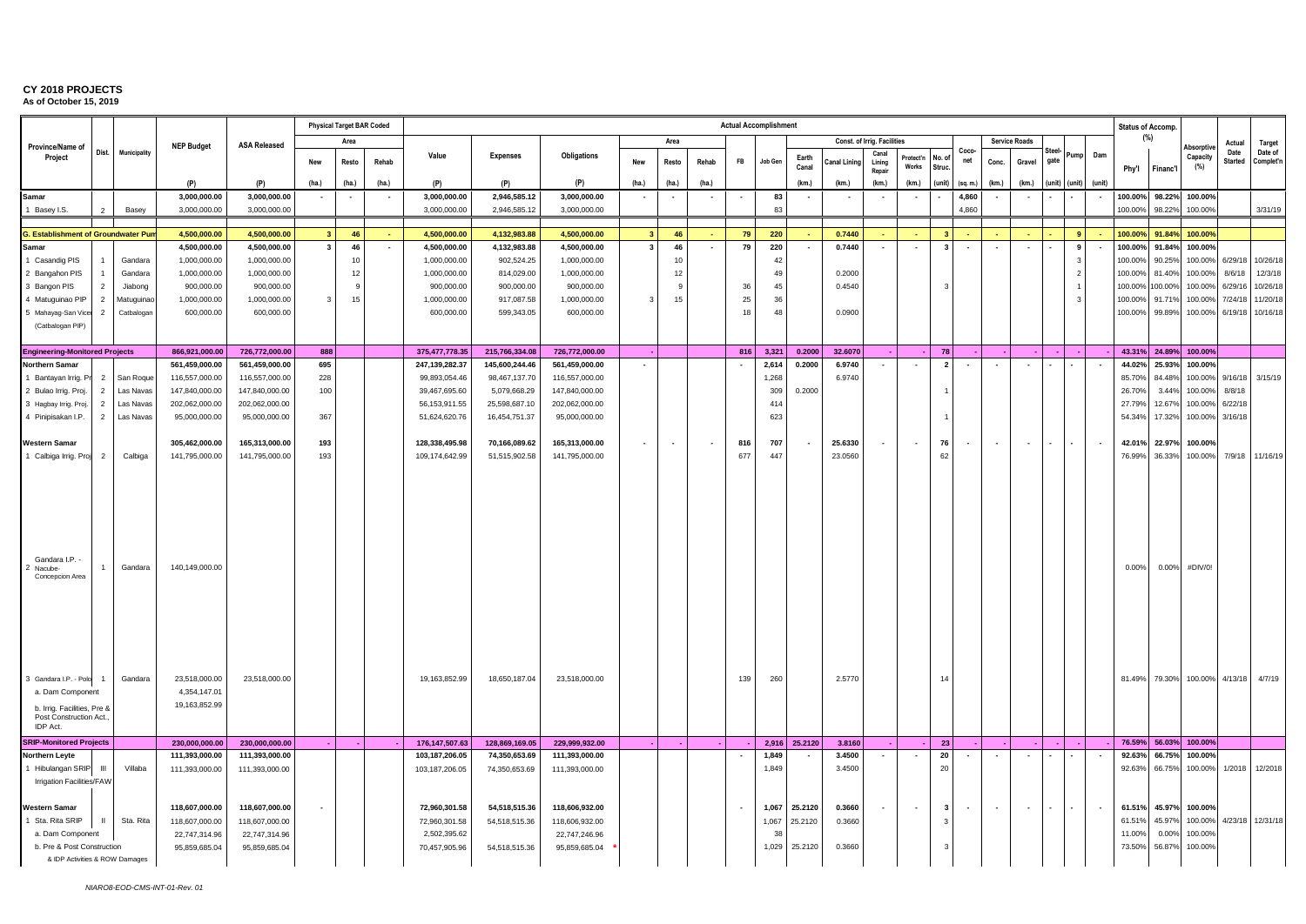|                                                                                                                                                              |                |                    |                                                                  |                     |                          | <b>Physical Target BAR Coded</b> |                |                  |                 |                    |                |                          |                          | <b>Actual Accomplishment</b> |          |                          |              |                             |                           |                          |                          |                          |                          |        |                          |                          | Status of Accomp.  |                 |                    |                        |                      |
|--------------------------------------------------------------------------------------------------------------------------------------------------------------|----------------|--------------------|------------------------------------------------------------------|---------------------|--------------------------|----------------------------------|----------------|------------------|-----------------|--------------------|----------------|--------------------------|--------------------------|------------------------------|----------|--------------------------|--------------|-----------------------------|---------------------------|--------------------------|--------------------------|--------------------------|--------------------------|--------|--------------------------|--------------------------|--------------------|-----------------|--------------------|------------------------|----------------------|
| Province/Name of                                                                                                                                             |                |                    | <b>NEP Budget</b>                                                | <b>ASA Released</b> |                          | Area                             |                |                  |                 |                    |                | Area                     |                          |                              |          |                          |              | Const. of Irria. Facilities |                           |                          |                          |                          | <b>Service Roads</b>     |        |                          |                          |                    | (%)             | Absorptive         | Actual                 | Target               |
| Project                                                                                                                                                      | Dist.          | Municipality       |                                                                  |                     | New                      | Resto                            | Rehab          | Value            | <b>Expenses</b> | <b>Obligations</b> | New            | Resto                    | Rehab                    | <b>FB</b>                    | Job Gen  | Earth<br>Canal           | Canal Lining | Canal<br>Lining<br>Repair   | Protect'n<br><b>Works</b> | No. o<br>Struc           | Coco-<br>net             | Conc.                    | Gravel                   | gate   | Pump                     | Dam                      | Phy'l              | Financ'l        | Capacity<br>(%)    | Date<br><b>Started</b> | Date of<br>Complet'n |
|                                                                                                                                                              |                |                    | (P)                                                              | (P)                 | (ha.)                    | (ha.)                            | (ha.)          | (P)              | (P)             | (P)                | (ha.)          | (ha.)                    | (ha.)                    |                              |          | (km.)                    | (km.)        | (km.)                       | (km)                      | (unit                    | (sq. m.)                 | (km.)                    | (km.)                    | (unit) | (unit)                   | (unit                    |                    |                 |                    |                        |                      |
| Samar                                                                                                                                                        |                |                    | 3.000.000.00                                                     | 3,000,000.00        | $\overline{\phantom{a}}$ | $\overline{\phantom{a}}$         |                | 3,000,000.00     | 2,946,585.12    | 3,000,000.00       |                | $\overline{\phantom{a}}$ | $\overline{\phantom{a}}$ | $\sim$                       | 83<br>83 |                          |              | $\overline{\phantom{a}}$    |                           | $\overline{\phantom{a}}$ | 4,860                    |                          | $\overline{\phantom{a}}$ |        |                          |                          | 100.00%<br>100.00% | 98.22%          | 100.00%            |                        |                      |
| 1 Basey I.S.                                                                                                                                                 |                | Basey              | 3,000,000.00                                                     | 3,000,000.00        |                          |                                  |                | 3,000,000.00     | 2,946,585.12    | 3,000,000.00       |                |                          |                          |                              |          |                          |              |                             |                           |                          | 4,860                    |                          |                          |        |                          |                          |                    | 98.22%          | 100.00%            |                        | 3/31/19              |
| <b>G. Establishment of Groundwater Pu</b>                                                                                                                    |                |                    | 4,500,000.00                                                     | 4,500,000.00        | 3 <sup>1</sup>           | 46                               | in 19          | 4,500,000.00     | 4,132,983.88    | 4,500,000.00       | 3 <sup>1</sup> | 46                       |                          | 79                           | 220      |                          | 0.7440       | a.                          |                           | $\mathbf{R}$             | ÷.                       |                          |                          |        | $\overline{\mathbf{9}}$  |                          | 100.00%            | 91.84%          | 100.00%            |                        |                      |
| Samar                                                                                                                                                        |                |                    | 4,500,000.00                                                     | 4,500,000.00        | $\mathbf{3}$             | 46                               | $\blacksquare$ | 4,500,000.00     | 4,132,983.88    | 4,500,000.00       | $\mathbf{3}$   | 46                       |                          | 79                           | 220      |                          | 0.7440       | $\overline{\phantom{a}}$    | $\overline{\phantom{a}}$  | $\mathbf{3}$             | $\overline{\phantom{a}}$ | $\overline{\phantom{a}}$ | $\overline{\phantom{a}}$ |        | 9                        |                          | 100.00%            | 91.84%          | 100.00%            |                        |                      |
| 1 Casandig PIS                                                                                                                                               |                | Gandara            | 1,000,000.00                                                     | 1,000,000.00        |                          | 10                               |                | 1,000,000.00     | 902,524.25      | 1,000,000.00       |                | 10                       |                          |                              | 42       |                          |              |                             |                           |                          |                          |                          |                          |        | -3                       |                          | 100.00%            | 90.25%          | 100.00%            | 6/29/18                | 10/26/18             |
| 2 Bangahon PIS                                                                                                                                               |                | Gandara            | 1,000,000.00                                                     | 1,000,000.00        |                          | 12                               |                | 1,000,000.00     | 814,029.00      | 1,000,000.00       |                | 12                       |                          |                              | 49       |                          | 0.2000       |                             |                           |                          |                          |                          |                          |        | $\overline{\phantom{a}}$ |                          | 100.00%            | 81.40%          | 100.00%            | 8/6/18                 | 12/3/18              |
| 3 Bangon PIS                                                                                                                                                 |                | Jiabong            | 900,000.00                                                       | 900,000.00          |                          |                                  |                | 900,000.00       | 900,000.00      | 900,000.00         |                |                          |                          | 36                           | 45       |                          | 0.4540       |                             |                           |                          |                          |                          |                          |        |                          |                          | 100.009            | 100.00%         | 100.00%            | 6/29/16                | 10/26/18             |
| 4 Matuguinao PIP                                                                                                                                             | $\overline{2}$ | Matuguinao         | 1,000,000.00                                                     | 1,000,000.00        | 3                        | 15                               |                | 1,000,000.00     | 917,087.58      | 1,000,000.00       | 3              | 15                       |                          | 25<br>18                     | 36<br>48 |                          | 0.0900       |                             |                           |                          |                          |                          |                          |        | $\overline{\mathbf{3}}$  |                          | 100.00%            | 91.71%          | 100.00%            | 7/24/18                | 11/20/18             |
| 5 Mahayag-San Vicer<br>(Catbalogan PIP)                                                                                                                      | $\overline{2}$ | Catbalogar         | 600,000.00                                                       | 600,000.00          |                          |                                  |                | 600,000.00       | 599,343.05      | 600,000.00         |                |                          |                          |                              |          |                          |              |                             |                           |                          |                          |                          |                          |        |                          |                          | 100.00%            | 99.89%          | 100.00%            | 6/19/18                | 10/16/18             |
|                                                                                                                                                              |                |                    |                                                                  |                     |                          |                                  |                |                  |                 |                    |                |                          |                          |                              |          |                          |              |                             |                           |                          |                          |                          |                          |        |                          |                          |                    |                 |                    |                        |                      |
| <b>Engineering-Monitored Projects</b>                                                                                                                        |                |                    | 866,921,000.00                                                   | 726,772,000.00      | 888                      |                                  |                | 375,477,778.35   | 215,766,334.08  | 726,772,000.00     |                |                          |                          | 816                          | 3,321    | 0.2000                   | 32.6070      |                             |                           | 78                       |                          |                          |                          |        |                          |                          |                    | 43.31% 24.89%   | 100.00%            |                        |                      |
| <b>Northern Samar</b>                                                                                                                                        |                |                    | 561,459,000.00                                                   | 561,459,000.00      | 695                      |                                  |                | 247,139,282.37   | 145,600,244.46  | 561,459,000.00     |                |                          |                          |                              | 2,614    | 0.2000                   | 6.9740       | $\sim$                      | $\overline{\phantom{a}}$  | $\overline{2}$           | $\overline{\phantom{a}}$ | $\sim$                   | $\overline{\phantom{a}}$ |        |                          |                          | 44.02%             | 25.93%          | 100.00%            |                        |                      |
| 1 Bantayan Irrig. Pr                                                                                                                                         | 2              | San Roque          | 116,557,000.00                                                   | 116,557,000.00      | 228                      |                                  |                | 99,893,054.46    | 98,467,137.70   | 116,557,000.00     |                |                          |                          |                              | 1,268    |                          | 6.9740       |                             |                           |                          |                          |                          |                          |        |                          |                          | 85.70%             | 84.48%          | 100.00%            | 9/16/18                | 3/15/19              |
| 2 Bulao Irrig. Proj.                                                                                                                                         | $\overline{2}$ | Las Navas          | 147,840,000.00                                                   | 147,840,000.00      | 100                      |                                  |                | 39,467,695.60    | 5,079,668.29    | 147,840,000.00     |                |                          |                          |                              | 309      | 0.2000                   |              |                             |                           |                          |                          |                          |                          |        |                          |                          | 26.70%             | 3.44%           | 100.00%            | 8/8/18                 |                      |
| 3 Hagbay Irrig. Proj.                                                                                                                                        | $\overline{2}$ | Las Navas          | 202,062,000.00                                                   | 202,062,000.00      |                          |                                  |                | 56, 153, 911.55  | 25,598,687.10   | 202,062,000.00     |                |                          |                          |                              | 414      |                          |              |                             |                           |                          |                          |                          |                          |        |                          |                          | 27.799             | 12.67%          | 100.00%            | 6/22/18                |                      |
| 4 Pinipisakan I.P.                                                                                                                                           | $\overline{2}$ | Las Navas          | 95,000,000.00                                                    | 95,000,000.00       | 367                      |                                  |                | 51,624,620.76    | 16,454,751.37   | 95,000,000.00      |                |                          |                          |                              | 623      |                          |              |                             |                           |                          |                          |                          |                          |        |                          |                          | 54.349             | 17.32%          | 100.00%            | 3/16/18                |                      |
| <b>Western Samar</b>                                                                                                                                         |                |                    | 305,462,000.00                                                   | 165,313,000.00      | 193                      |                                  |                | 128,338,495.98   | 70,166,089.62   | 165,313,000.00     |                | $\overline{\phantom{a}}$ | $\overline{\phantom{a}}$ | 816                          | 707      | $\overline{\phantom{a}}$ | 25.6330      | $\overline{\phantom{a}}$    | $\overline{\phantom{a}}$  | 76                       | $\blacksquare$           | $\sim$                   | $\overline{\phantom{a}}$ |        | $\blacksquare$           | $\overline{\phantom{a}}$ | 42.01%             | 22.97%          | 100.00%            |                        |                      |
| 1 Calbiga Irrig. Proj                                                                                                                                        | $\overline{2}$ | Calbiga            | 141,795,000.00                                                   | 141,795,000.00      | 193                      |                                  |                | 109,174,642.99   | 51,515,902.58   | 141,795,000.00     | $\sim$         |                          |                          | 677                          | 447      |                          | 23.0560      |                             |                           | 62                       |                          |                          |                          |        |                          |                          | 76.99%             | 36.33%          | 100.00%            |                        | 7/9/18 11/16/19      |
|                                                                                                                                                              |                |                    |                                                                  |                     |                          |                                  |                |                  |                 |                    |                |                          |                          |                              |          |                          |              |                             |                           |                          |                          |                          |                          |        |                          |                          |                    |                 |                    |                        |                      |
| Gandara I.P.<br>Nacube-<br>Concepcion Area<br>3 Gandara I.P. - Polo<br>a. Dam Component<br>b. Irrig. Facilities, Pre &<br>Post Construction Act.<br>IDP Act. |                | Gandara<br>Gandara | 140,149,000.00<br>23,518,000.00<br>4,354,147.01<br>19,163,852.99 | 23,518,000.00       |                          |                                  |                | 19,163,852.99    | 18,650,187.04   | 23.518.000.00      |                |                          |                          | 139                          | 260      |                          | 2.5770       |                             |                           | 14                       |                          |                          |                          |        |                          |                          | 0.00%<br>81.49%    | 0.00%<br>79.30% | #DIV/0!<br>100.00% | 4/13/18                | 4/7/19               |
| <b>SRIP-Monitored Projects</b>                                                                                                                               |                |                    | 230,000,000.00                                                   | 230,000,000.00      |                          |                                  |                | 176, 147, 507.63 | 128,869,169.05  | 229,999,932.00     |                |                          |                          |                              | 2,916    | 25.2120                  | 3.8160       |                             |                           | 23                       |                          |                          |                          |        |                          |                          | 76.59%             | 56.03%          | 100.00%            |                        |                      |
| <b>Northern Leyte</b>                                                                                                                                        |                |                    | 111,393,000.00                                                   | 111,393,000.00      |                          |                                  |                | 103,187,206.05   | 74,350,653.69   | 111,393,000.00     |                |                          |                          |                              | 1,849    |                          | 3.4500       | $\sim$                      |                           | 20                       | $\overline{\phantom{a}}$ |                          | $\overline{\phantom{a}}$ |        |                          |                          | 92.63%             | 66.75%          | 100.00%            |                        |                      |
| 1 Hibulangan SRIP<br>Irrigation Facilities/FAW                                                                                                               | $\mathbf{H}$   | Villaba            | 111,393,000.00                                                   | 111,393,000.00      |                          |                                  |                | 103,187,206.05   | 74,350,653.69   | 111,393,000.00     |                |                          |                          |                              | 1,849    |                          | 3.4500       |                             |                           | 20                       |                          |                          |                          |        |                          |                          | 92.63%             | 66.75%          | 100.00%            | 1/2018                 | 12/2018              |
| <b>Western Samar</b>                                                                                                                                         |                |                    | 118,607,000.00                                                   | 118,607,000.00      |                          |                                  |                | 72,960,301.58    | 54,518,515.36   | 118,606,932.00     |                |                          |                          | $\overline{\phantom{a}}$     | 1,067    | 25.2120                  | 0.3660       | $\sim$                      | $\overline{\phantom{a}}$  | $\mathbf{3}$             | $\overline{\phantom{a}}$ | $\sim$                   | $\overline{\phantom{a}}$ |        | $\overline{\phantom{a}}$ | $\overline{\phantom{a}}$ | 61.51%             | 45.97%          | 100.00%            |                        |                      |
| Sta. Rita SRIP                                                                                                                                               |                | Sta. Rita          | 118,607,000.00                                                   | 118,607,000.00      |                          |                                  |                | 72,960,301.58    | 54,518,515.36   | 118,606,932.00     |                |                          |                          |                              | 1,067    | 25.2120                  | 0.3660       |                             |                           | -3                       |                          |                          |                          |        |                          |                          | 61.51              | 45.97%          | 100.00%            | 4/23/18                | 12/31/18             |
| a. Dam Component                                                                                                                                             |                |                    | 22,747,314.96                                                    | 22,747,314.96       |                          |                                  |                | 2,502,395.62     |                 | 22,747,246.96      |                |                          |                          |                              | 38       |                          |              |                             |                           |                          |                          |                          |                          |        |                          |                          | 11.009             | 0.00%           | 100.00%            |                        |                      |
| b. Pre & Post Construction                                                                                                                                   |                |                    | 95,859,685.04                                                    | 95,859,685.04       |                          |                                  |                | 70,457,905.96    | 54,518,515.36   | 95,859,685.04      |                |                          |                          |                              | 1,029    | 25.2120                  | 0.3660       |                             |                           |                          |                          |                          |                          |        |                          |                          | 73.50%             | 56.87%          | 100.00%            |                        |                      |
| & IDP Activities & ROW Damages                                                                                                                               |                |                    |                                                                  |                     |                          |                                  |                |                  |                 |                    |                |                          |                          |                              |          |                          |              |                             |                           |                          |                          |                          |                          |        |                          |                          |                    |                 |                    |                        |                      |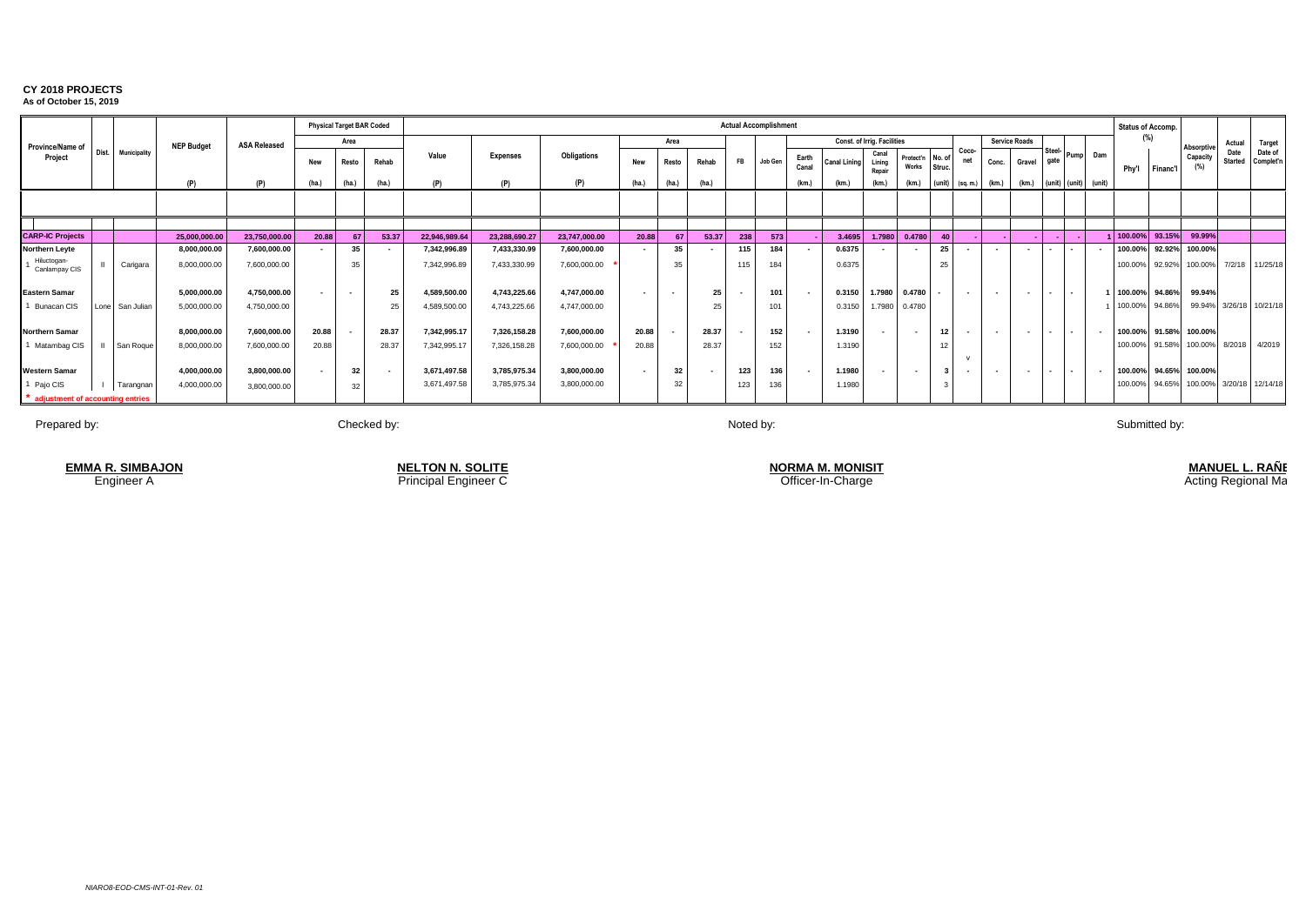|                                  |       |                |                   |                     |                          |        | <b>Physical Target BAR Coded</b> |               |                 |               |                          |                          |                |           | <b>Actual Accomplishment</b> |                |                     |                             |                           |        |                          |                          |                          |                          |                          |                          | Status of Accomp. |                 |                        |                        |                         |
|----------------------------------|-------|----------------|-------------------|---------------------|--------------------------|--------|----------------------------------|---------------|-----------------|---------------|--------------------------|--------------------------|----------------|-----------|------------------------------|----------------|---------------------|-----------------------------|---------------------------|--------|--------------------------|--------------------------|--------------------------|--------------------------|--------------------------|--------------------------|-------------------|-----------------|------------------------|------------------------|-------------------------|
| Province/Name of                 |       |                | <b>NEP Budget</b> | <b>ASA Released</b> |                          | Area   |                                  |               |                 |               |                          | Area                     |                |           |                              |                |                     | Const. of Irrig. Facilities |                           |        |                          |                          | <b>Service Roads</b>     |                          |                          |                          |                   | (%)             | Absorptiv              | Actual                 | <b>Target</b>           |
| Project                          | Dist. | Municipality   |                   |                     | <b>New</b>               | Resto  | Rehab                            | Value         | <b>Expenses</b> | Obligations   | New                      | Resto                    | Rehab          | <b>FB</b> | Job Gen                      | Earth<br>Canal | <b>Canal Lining</b> | Canal<br>Lining<br>Repair   | Protect'n No. of<br>Works | Struc. | Coco-                    | Conc.                    | Gravel                   | gate                     |                          | Pump Dam                 | Phy'l             | <b>Financ'l</b> | Capacity<br>(%)        | Date<br><b>Started</b> | Date of<br>Complet'n    |
|                                  |       |                | (P)               | (P)                 | (ha.)                    | (ha.)  | (ha.)                            | (P)           | (P)             |               | (ha)                     | (ha)                     | (ha.)          |           |                              | (km.)          | (km                 |                             | (km.)                     | (unit) | (sq. m.)                 | (km.)                    | (km.)                    | (unit) (unit)            |                          | (unit)                   |                   |                 |                        |                        |                         |
|                                  |       |                |                   |                     |                          |        |                                  |               |                 |               |                          |                          |                |           |                              |                |                     |                             |                           |        |                          |                          |                          |                          |                          |                          |                   |                 |                        |                        |                         |
|                                  |       |                |                   |                     |                          |        |                                  |               |                 |               |                          |                          |                |           |                              |                |                     |                             |                           |        |                          |                          |                          |                          |                          |                          |                   |                 |                        |                        |                         |
| <b>CARP-IC Projects</b>          |       |                | 25,000,000.00     | 23,750,000.00       | 20.88                    |        | 53.37                            | 22,946,989.64 | 23,288,690.27   | 23,747,000.00 | 20.88                    | 67                       | 53.37          | 238       | 573                          |                | 3.4695              | 1.7980                      | 0.4780                    | 40     |                          |                          |                          |                          |                          |                          | 1 100.00%         | 93.15%          | 99.99%                 |                        |                         |
| Northern Leyte                   |       |                | 8,000,000.00      | 7,600,000.00        |                          | 35     |                                  | 7,342,996.89  | 7,433,330.99    | 7,600,000.00  |                          | 35                       |                |           | 184                          |                | 0.6375              |                             |                           | 25     |                          |                          |                          |                          |                          |                          | 100.00%           | 92.92%          | 100.00%                |                        |                         |
| Hiluctogan-<br>Canlampay CIS     |       | Carigara       | 8,000,000.00      | 7,600,000.00        |                          | 35     |                                  | 7,342,996.89  | 7,433,330.99    | 7,600,000.00  |                          | 35                       |                | 115       | 184                          |                | 0.6375              |                             |                           | 25     |                          |                          |                          |                          |                          |                          | 100.00%           | 92.92%          | 100.00%                |                        | 7/2/18 11/25/18         |
| <b>Eastern Samar</b>             |       |                | 5,000,000.00      | 4,750,000.00        | $\overline{\phantom{a}}$ | $\sim$ | 25                               | 4,589,500.00  | 4,743,225.66    | 4,747,000.00  | $\overline{\phantom{a}}$ | $\overline{\phantom{a}}$ | 25             |           | 101                          | $\sim$         | 0.3150              | 1.7980                      | 0.4780                    |        | $\overline{\phantom{a}}$ |                          |                          | $\sim$                   | $\overline{\phantom{a}}$ |                          | 100.00%           | 94.86%          | 99.94%                 |                        |                         |
| 1 Bunacan CIS                    |       | one San Julian | 5,000,000.00      | 4,750,000.00        |                          |        | 25                               | 4,589,500.00  | 4,743,225.66    | 4,747,000.00  |                          |                          |                |           | 101                          |                | 0.3150              | 1.7980                      | 0.4780                    |        |                          |                          |                          |                          |                          |                          | 100.00%           | 94.86%          |                        |                        | 99.94% 3/26/18 10/21/18 |
| <b>Northern Samar</b>            |       |                | 8,000,000.00      | 7,600,000.00        | 20.88                    |        | 28.37                            | 7,342,995.17  | 7,326,158.28    | 7,600,000.00  | 20.88                    |                          | 28.37          |           | 152                          | $\sim$         | 1.3190              |                             | $\overline{\phantom{a}}$  | 12     |                          | $\overline{\phantom{a}}$ |                          | $\overline{\phantom{a}}$ | $\sim$                   |                          |                   |                 | 100.00% 91.58% 100.00% |                        |                         |
| 1 Matambag CIS                   |       | San Roque      | 8.000.000.00      | 7,600,000.00        | 20.88                    |        | 28.37                            | 7,342,995.17  | 7,326,158.28    | 7,600,000.00  | 20.88                    |                          | 28.37          |           | 152                          |                | 1.3190              |                             |                           | 12     |                          |                          |                          |                          |                          |                          | 100.00%           | 91.58%          | 100.00%                |                        | 8/2018 4/2019           |
| <b>Western Samar</b>             |       |                | 4,000,000.00      | 3,800,000.00        | $\overline{\phantom{a}}$ | 32     | $\sim$                           | 3,671,497.58  | 3,785,975.34    | 3,800,000.00  | $\overline{\phantom{a}}$ | 32                       | $\blacksquare$ | 123       | 136                          | $\sim$         | 1.1980              |                             | $\overline{\phantom{a}}$  |        |                          | $\overline{\phantom{a}}$ | $\overline{\phantom{a}}$ | $\sim$                   | $\sim$                   | $\overline{\phantom{a}}$ |                   |                 | 100.00% 94.65% 100.00% |                        |                         |
| 1 Pajo CIS                       |       | Tarangnan      | 4,000,000.00      | 3,800,000.00        |                          | 32     |                                  | 3,671,497.58  | 3,785,975.34    | 3,800,000.00  |                          | 32                       |                | 123       | 136                          |                | 1.1980              |                             |                           |        |                          |                          |                          |                          |                          |                          | 100.00%           | 94.65%          | 100.00%                |                        | 3/20/18 12/14/18        |
| adjustment of accounting entries |       |                |                   |                     |                          |        |                                  |               |                 |               |                          |                          |                |           |                              |                |                     |                             |                           |        |                          |                          |                          |                          |                          |                          |                   |                 |                        |                        |                         |

Prepared by: Noted by: Noted by: Noted by: Noted by: Noted by: Noted by: Noted by: Noted by: Submitted by: Submitted by:

Engineer A **Principal Engineer C** Principal Engineer C Contract Construction Contract Charge Officer-In-Charge **EMMA R. SIMBAJON NELTON N. SOLITE**

**NORMA M. MONISIT**<br>Officer-In-Charge

<u>MANUEL L. RANE</u>

Acting Regional Ma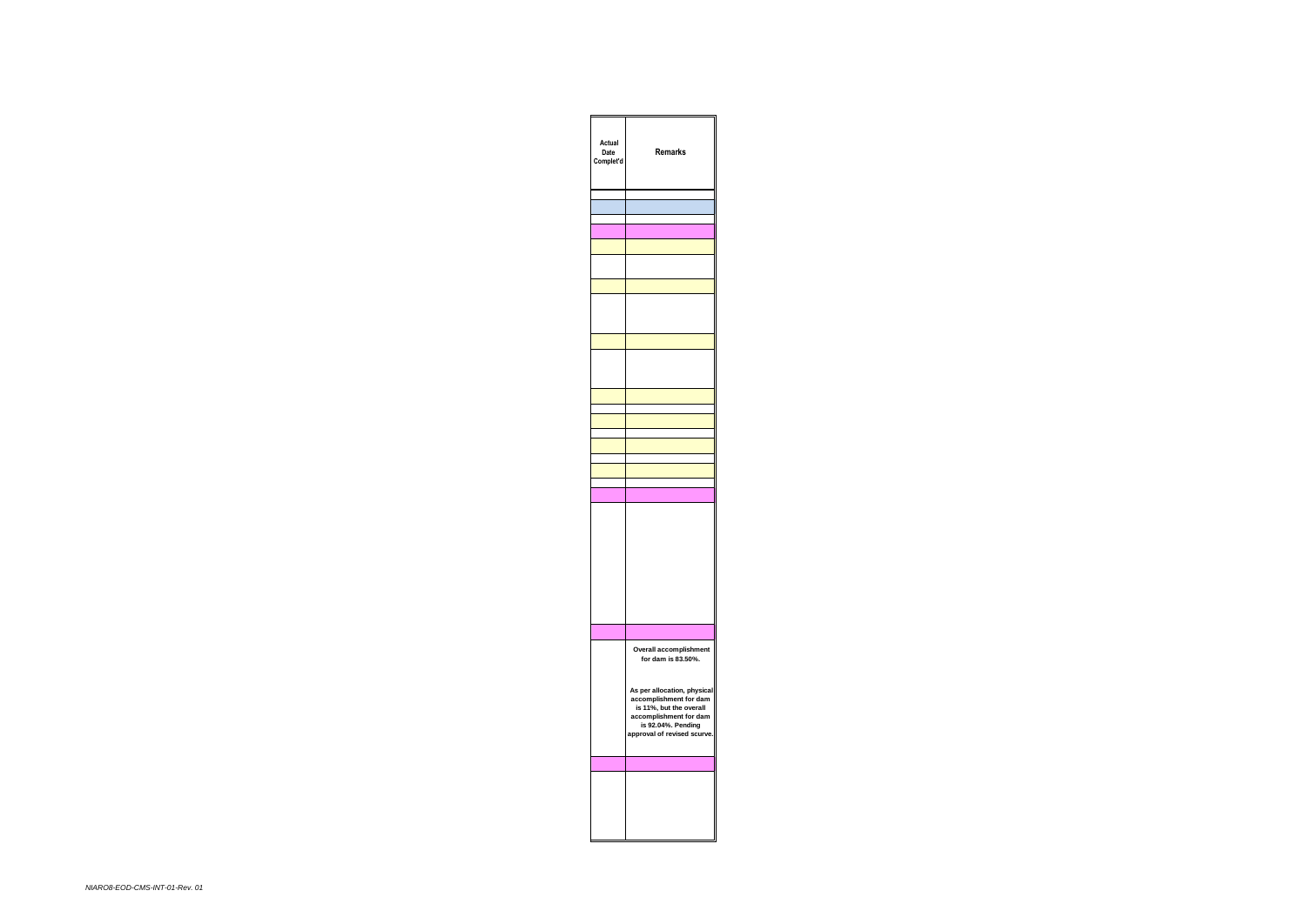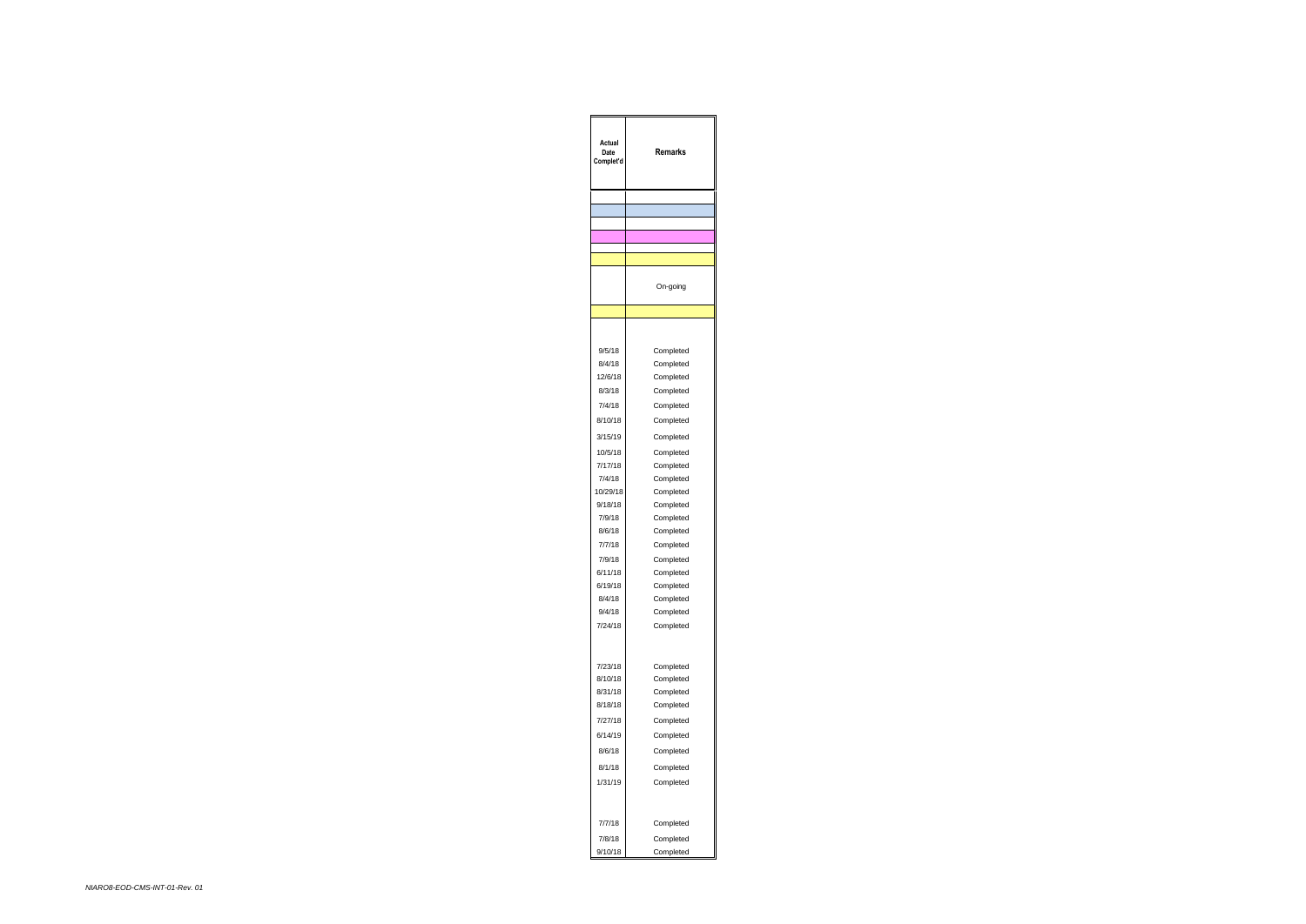| Actual<br>Date<br>Complet'd | Remarks                             |
|-----------------------------|-------------------------------------|
|                             |                                     |
|                             |                                     |
|                             |                                     |
|                             |                                     |
|                             |                                     |
|                             | On-going                            |
|                             |                                     |
| 9/5/18<br>8/4/18<br>12/6/18 | Completed<br>Completed<br>Completed |
| 8/3/18                      | Completed                           |
| 7/4/18                      | Completed                           |
| 8/10/18                     | Completed                           |
| 3/15/19                     | Completed                           |
| 10/5/18                     | Completed                           |
| 7/17/18                     | Completed                           |
| 7/4/18                      | Completed                           |
| 10/29/18                    | Completed                           |
| 9/18/18                     | Completed                           |
| 7/9/18                      | Completed                           |
| 8/6/18                      | Completed                           |
| 7/7/18                      | Completed                           |
| 7/9/18                      | Completed                           |
| 6/11/18                     | Completed                           |
| 6/19/18                     | Completed                           |
| 8/4/18                      | Completed                           |
| 9/4/18                      | Completed                           |
| 7/24/18                     | Completed                           |
| 7/23/18<br>8/10/18          | Completed                           |
| 8/31/18                     | Completed                           |
| 8/18/18                     | Completed<br>Completed              |
| 7/27/18                     | Completed                           |
| 6/14/19                     | Completed                           |
| 8/6/18                      |                                     |
|                             | Completed                           |
| 8/1/18                      | Completed                           |
| 1/31/19                     | Completed                           |
| 7/7/18                      | Completed                           |
| 7/8/18                      | Completed                           |
| 9/10/18                     | Completed                           |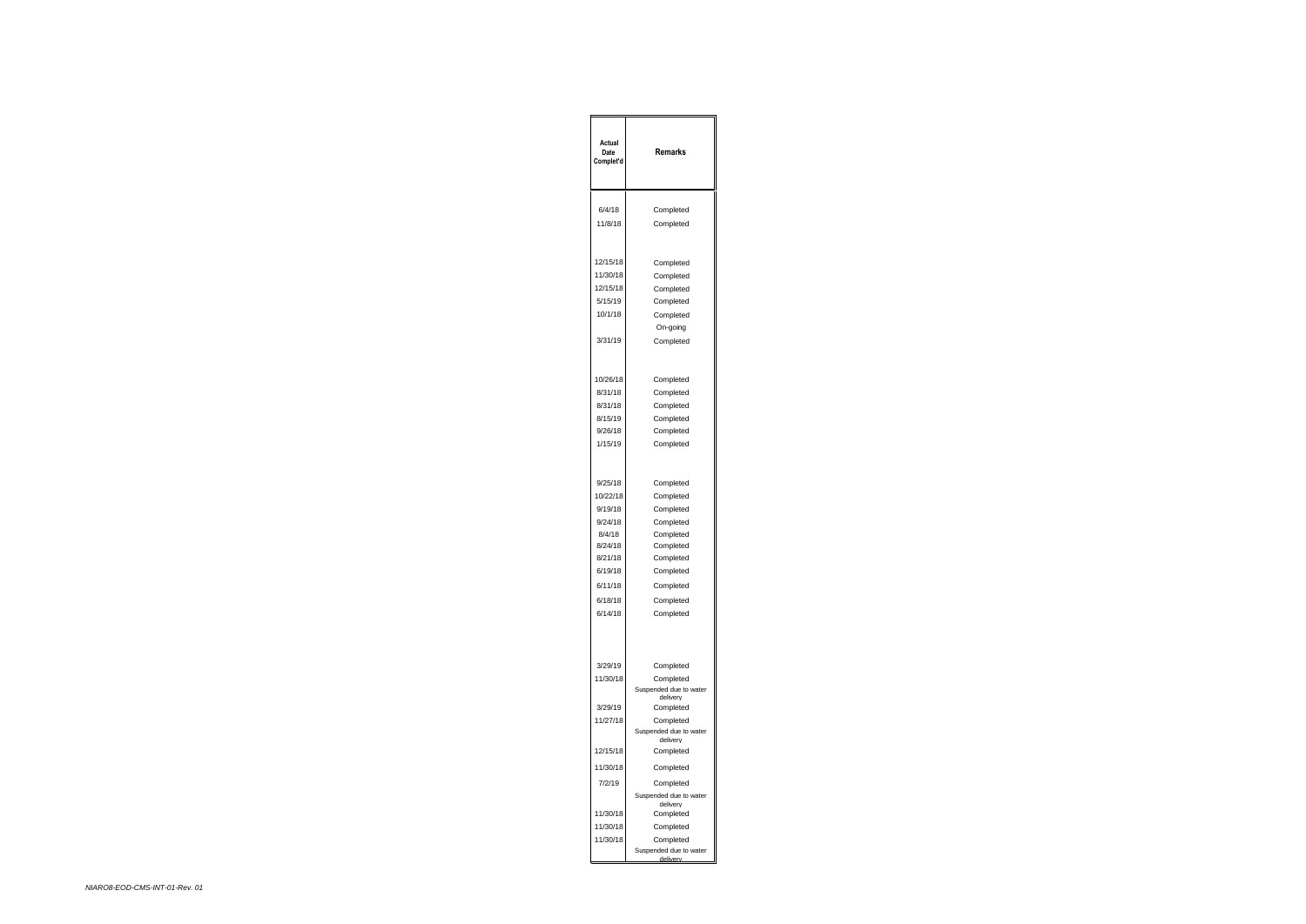| Actual<br>Date<br>Complet'd                                       | Remarks                                                                                                                                   |
|-------------------------------------------------------------------|-------------------------------------------------------------------------------------------------------------------------------------------|
| 6/4/18                                                            | Completed                                                                                                                                 |
| 11/8/18                                                           | Completed                                                                                                                                 |
| 12/15/18<br>11/30/18<br>12/15/18<br>5/15/19<br>10/1/18<br>3/31/19 | Completed<br>Completed<br>Completed<br>Completed<br>Completed<br>On-going<br>Completed                                                    |
| 10/26/18                                                          | Completed                                                                                                                                 |
| 8/31/18                                                           | Completed                                                                                                                                 |
| 8/31/18                                                           | Completed                                                                                                                                 |
| 8/15/19                                                           | Completed                                                                                                                                 |
| 9/26/18                                                           | Completed                                                                                                                                 |
| 1/15/19                                                           | Completed                                                                                                                                 |
| 9/25/18                                                           | Completed                                                                                                                                 |
| 10/22/18                                                          | Completed                                                                                                                                 |
| 9/19/18                                                           | Completed                                                                                                                                 |
| 9/24/18                                                           | Completed                                                                                                                                 |
| 8/4/18                                                            | Completed                                                                                                                                 |
| 8/24/18                                                           | Completed                                                                                                                                 |
| 8/21/18                                                           | Completed                                                                                                                                 |
| 6/19/18                                                           | Completed                                                                                                                                 |
| 6/11/18                                                           | Completed                                                                                                                                 |
| 6/18/18                                                           | Completed                                                                                                                                 |
| 6/14/18                                                           | Completed                                                                                                                                 |
| 3/29/19<br>11/30/18<br>3/29/19<br>11/27/18<br>12/15/18            | Completed<br>Completed<br>Suspended due to water<br>delivery<br>Completed<br>Completed<br>Suspended due to water<br>delivery<br>Completed |
| 11/30/18                                                          | Completed                                                                                                                                 |
| 7/2/19                                                            | Completed                                                                                                                                 |
| 11/30/18<br>11/30/18<br>11/30/18                                  | Suspended due to water<br>delivery<br>Completed<br>Completed<br>Completed<br>Suspended due to water<br>deliver                            |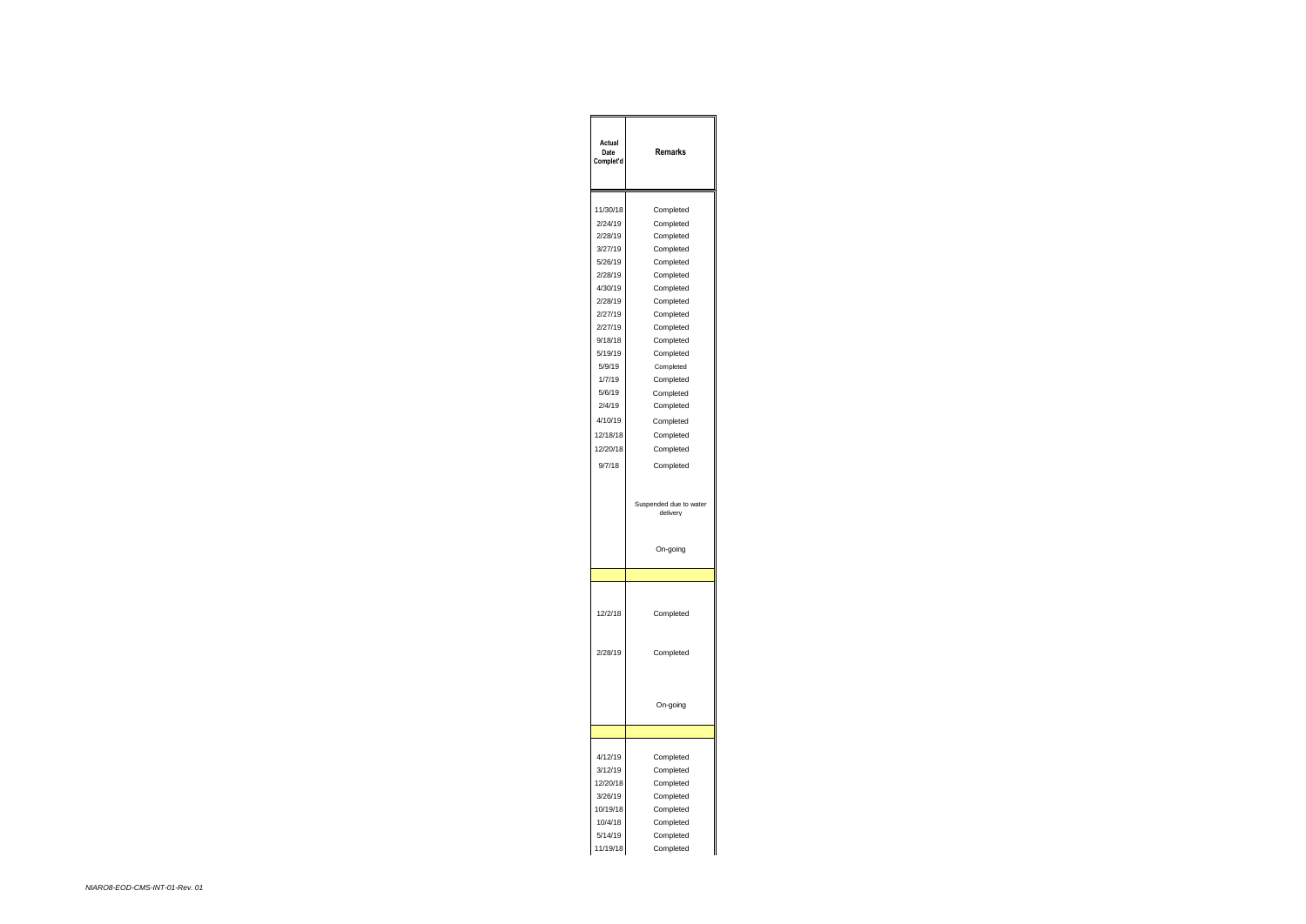| Actual<br>Date<br>Complet'd | Remarks                            |
|-----------------------------|------------------------------------|
|                             |                                    |
| 11/30/18                    | Completed                          |
| 2/24/19                     | Completed                          |
| 2/28/19                     | Completed                          |
| 3/27/19                     | Completed                          |
| 5/26/19                     | Completed                          |
| 2/28/19                     | Completed                          |
| 4/30/19                     | Completed                          |
| 2/28/19                     | Completed                          |
| 2/27/19                     | Completed                          |
| 2/27/19                     | Completed                          |
| 9/18/18                     | Completed                          |
| 5/19/19                     | Completed                          |
| 5/9/19                      | Completed                          |
| 1/7/19                      | Completed                          |
| 5/6/19                      | Completed                          |
| 2/4/19                      | Completed                          |
| 4/10/19                     | Completed                          |
| 12/18/18                    | Completed                          |
| 12/20/18                    | Completed                          |
| 9/7/18                      | Completed                          |
|                             |                                    |
|                             | Suspended due to water<br>delivery |
|                             | On-going                           |
|                             |                                    |
| 12/2/18                     | Completed                          |
|                             |                                    |
| 2/28/19                     | Completed                          |
|                             | On-going                           |
|                             |                                    |
|                             |                                    |
| 4/12/19                     | Completed                          |
| 3/12/19                     | Completed                          |
| 12/20/18                    | Completed                          |
| 3/26/19                     | Completed                          |
| 10/19/18                    | Completed                          |
| 10/4/18                     | Completed                          |
| 5/14/19<br>11/19/18         | Completed<br>Completed             |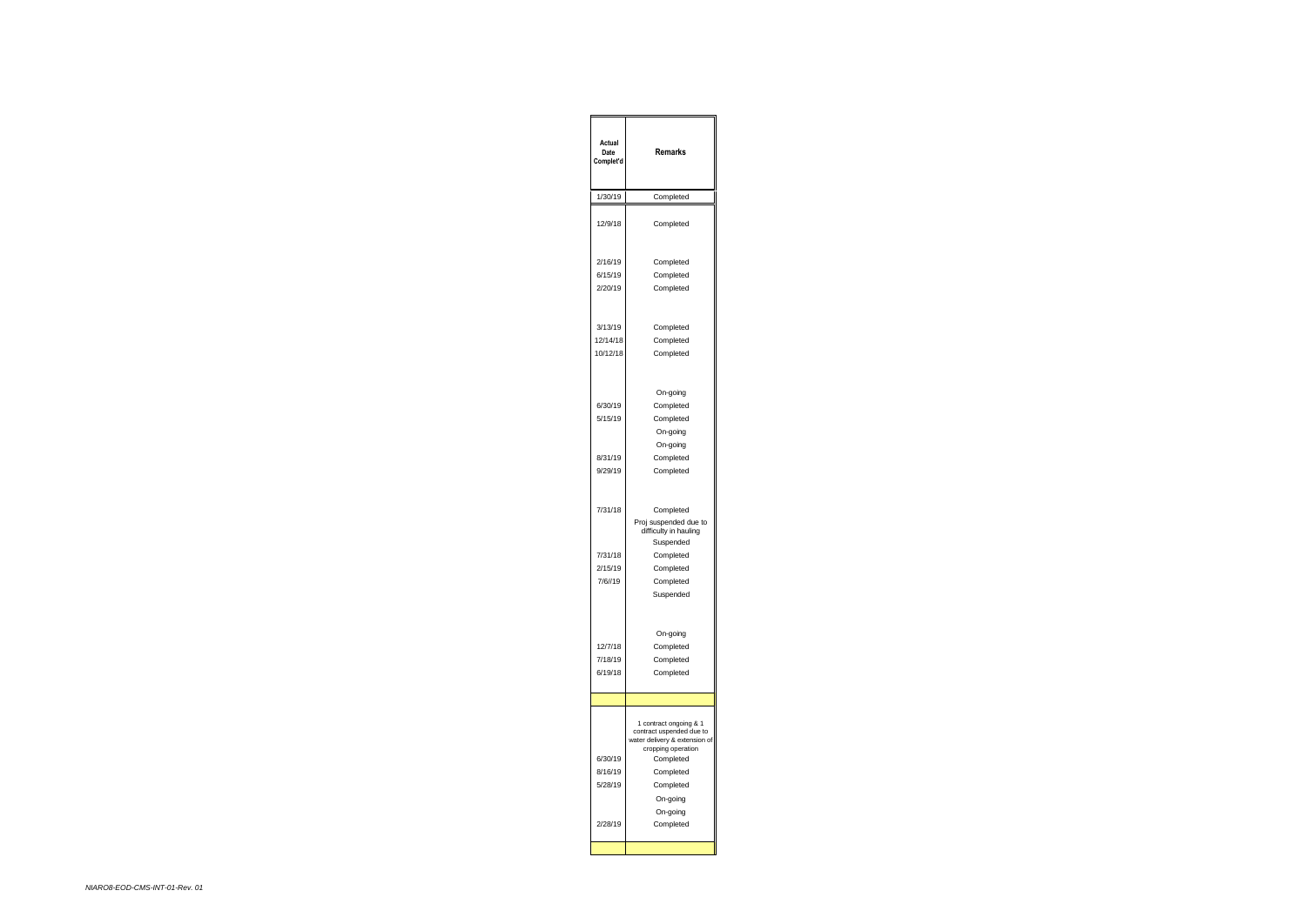| Actual<br>Date<br>Complet'd              | Remarks                                                                                                                                                                  |
|------------------------------------------|--------------------------------------------------------------------------------------------------------------------------------------------------------------------------|
| 1/30/19                                  | Completed                                                                                                                                                                |
| 12/9/18                                  | Completed                                                                                                                                                                |
| 2/16/19<br>6/15/19<br>2/20/19            | Completed<br>Completed<br>Completed                                                                                                                                      |
| 3/13/19<br>12/14/18<br>10/12/18          | Completed<br>Completed<br>Completed                                                                                                                                      |
| 6/30/19<br>5/15/19<br>8/31/19<br>9/29/19 | On-going<br>Completed<br>Completed<br>On-going<br>On-going<br>Completed<br>Completed                                                                                     |
| 7/31/18<br>7/31/18<br>2/15/19<br>7/6//19 | Completed<br>Proj suspended due to<br>difficulty in hauling<br>Suspended<br>Completed<br>Completed<br>Completed<br>Suspended                                             |
| 12/7/18<br>7/18/19<br>6/19/18            | On-going<br>Completed<br>Completed<br>Completed                                                                                                                          |
|                                          |                                                                                                                                                                          |
| 6/30/19<br>8/16/19<br>5/28/19            | 1 contract ongoing & 1<br>contract uspended due to<br>water delivery & extension of<br>cropping operation<br>Completed<br>Completed<br>Completed<br>On-going<br>On-going |
| 2/28/19                                  | Completed                                                                                                                                                                |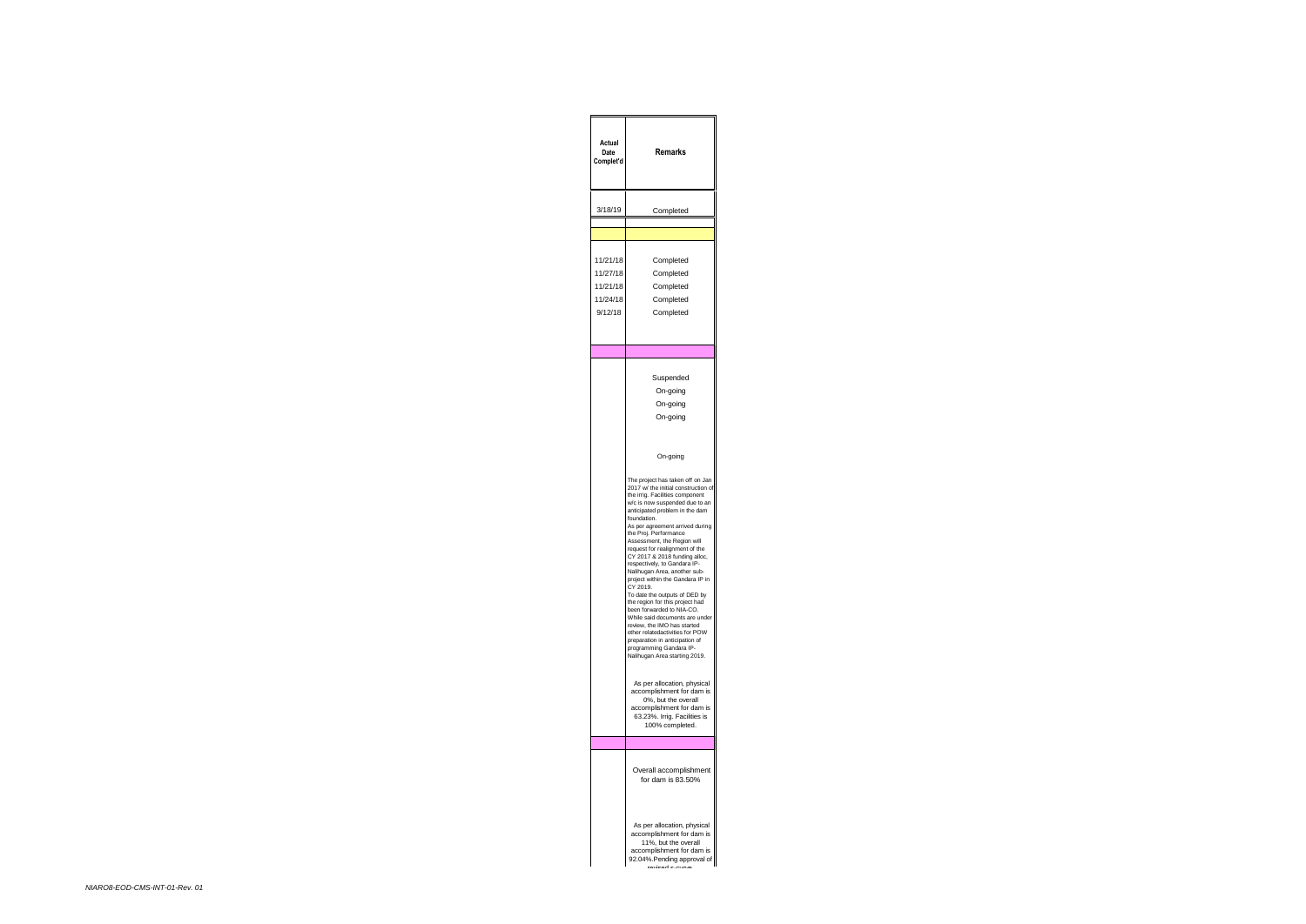| Actual<br>Date<br>Complet'd                             | Remarks                                                                                                                                                                                                                                                                                                                                                                                                                                                                                                                                                                                                                                                                                                                                                                                         |
|---------------------------------------------------------|-------------------------------------------------------------------------------------------------------------------------------------------------------------------------------------------------------------------------------------------------------------------------------------------------------------------------------------------------------------------------------------------------------------------------------------------------------------------------------------------------------------------------------------------------------------------------------------------------------------------------------------------------------------------------------------------------------------------------------------------------------------------------------------------------|
| 3/18/19                                                 | Completed                                                                                                                                                                                                                                                                                                                                                                                                                                                                                                                                                                                                                                                                                                                                                                                       |
| 11/21/18<br>11/27/18<br>11/21/18<br>11/24/18<br>9/12/18 | Completed<br>Completed<br>Completed<br>Completed<br>Completed                                                                                                                                                                                                                                                                                                                                                                                                                                                                                                                                                                                                                                                                                                                                   |
|                                                         | Suspended<br>On-going<br>On-going<br>On-going                                                                                                                                                                                                                                                                                                                                                                                                                                                                                                                                                                                                                                                                                                                                                   |
|                                                         | On-going<br>The project has taken off on Ja<br>ń<br>w/ the initial construction of<br>2017<br>the irrig. Facilities component<br>w/c is now suspended due to an<br>anticipated problem in the dam<br>foundation.<br>As per agreement arrived during<br>the Proj. Performance<br>Assessment, the Region will<br>request for realignment of the<br>CY 2017 & 2018 funding alloc,<br>respectively, to Gandara IP-<br>Nalihugan Area, another sub<br>project within the Gandara IP in<br>CY 2019.<br>To date the outputs of DED by<br>the region for this project had<br>been forwarded to NIA-CO.<br>While said documents are unde<br>review, the IMO has started<br>other relatedactivities for POW<br>preparation in anticipation of<br>programming Gandara IP-<br>Nalihugan Area starting 2019. |
|                                                         | As per allocation, physical<br>accomplishment for dam is<br>0%, but the overall<br>accomplishment for dam is<br>63.23%. Irrig. Facilities is<br>100% completed.                                                                                                                                                                                                                                                                                                                                                                                                                                                                                                                                                                                                                                 |
|                                                         | Overall accomplishment<br>for dam is 83.50%                                                                                                                                                                                                                                                                                                                                                                                                                                                                                                                                                                                                                                                                                                                                                     |
|                                                         | As per allocation, physical<br>accomplishment for dam is<br>11%, but the overall<br>accomplishment for dam is<br>92.04%. Pending approval of                                                                                                                                                                                                                                                                                                                                                                                                                                                                                                                                                                                                                                                    |